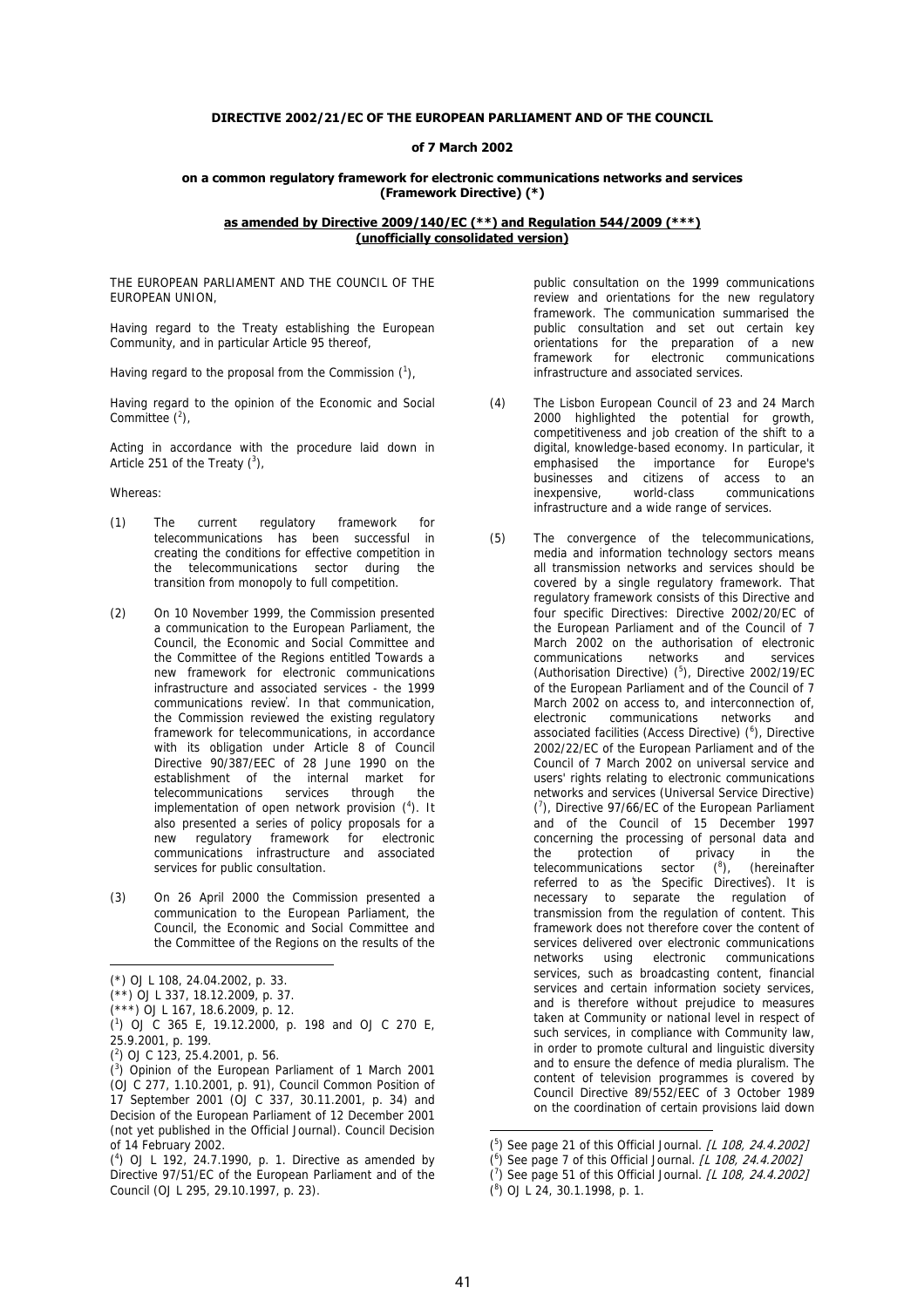## **DIRECTIVE 2002/21/EC OF THE EUROPEAN PARLIAMENT AND OF THE COUNCIL**

## **of 7 March 2002**

### **on a common regulatory framework for electronic communications networks and services (Framework Directive) (\*)**

## **as amended by Directive 2009/140/EC (\*\*) and Regulation 544/2009 (\*\*\*) (unofficially consolidated version)**

THE EUROPEAN PARLIAMENT AND THE COUNCIL OF THE EUROPEAN UNION,

Having regard to the Treaty establishing the European Community, and in particular Article 95 thereof,

Having regard to the proposal from the Commission (1),

Having regard to the opinion of the Economic and Social Committee (<sup>2</sup>),

Acting in accordance with the procedure laid down in Article 251 of the Treaty  $(3)$ ,

Whereas:

- (1) The current regulatory framework for telecommunications has been successful in creating the conditions for effective competition in the telecommunications sector during the transition from monopoly to full competition.
- (2) On 10 November 1999, the Commission presented a communication to the European Parliament, the Council, the Economic and Social Committee and the Committee of the Regions entitled Towards a new framework for electronic communications infrastructure and associated services - the 1999 communications review̓. In that communication, the Commission reviewed the existing regulatory framework for telecommunications, in accordance with its obligation under Article 8 of Council Directive 90/387/EEC of 28 June 1990 on the establishment of the internal market for telecommunications services through the implementation of open network provision (<sup>4</sup> ). It also presented a series of policy proposals for a new regulatory framework for electronic communications infrastructure and associated services for public consultation.
- (3) On 26 April 2000 the Commission presented a communication to the European Parliament, the Council, the Economic and Social Committee and the Committee of the Regions on the results of the

-

public consultation on the 1999 communications review and orientations for the new regulatory framework. The communication summarised the public consultation and set out certain key orientations for the preparation of a new framework for electronic communications infrastructure and associated services.

- (4) The Lisbon European Council of 23 and 24 March 2000 highlighted the potential for growth, competitiveness and job creation of the shift to a digital, knowledge-based economy. In particular, it emphasised the importance for Europe's businesses and citizens of access to an inexpensive, world-class communications infrastructure and a wide range of services.
- (5) The convergence of the telecommunications, media and information technology sectors means all transmission networks and services should be covered by a single regulatory framework. That regulatory framework consists of this Directive and four specific Directives: Directive 2002/20/EC of the European Parliament and of the Council of 7 March 2002 on the authorisation of electronic communications networks and services (Authorisation Directive) (5), Directive 2002/19/EC of the European Parliament and of the Council of 7 March 2002 on access to, and interconnection of,<br>electronic communications networks and communications networks associated facilities (Access Directive) (<sup>6</sup>), Directive 2002/22/EC of the European Parliament and of the Council of 7 March 2002 on universal service and users' rights relating to electronic communications networks and services (Universal Service Directive) ( 7 ), Directive 97/66/EC of the European Parliament and of the Council of 15 December 1997 concerning the processing of personal data and the protection of privacy in the telecommunications sector (<sup>8</sup>), (hereinafter referred to as 'the Specific Directives'). It is necessary to separate the regulation of transmission from the regulation of content. This framework does not therefore cover the content of services delivered over electronic communications networks using electronic communications services, such as broadcasting content, financial services and certain information society services, and is therefore without prejudice to measures taken at Community or national level in respect of such services, in compliance with Community law, in order to promote cultural and linguistic diversity and to ensure the defence of media pluralism. The content of television programmes is covered by Council Directive 89/552/EEC of 3 October 1989 on the coordination of certain provisions laid down

 $\overline{\phantom{a}}$ 

<sup>(\*)</sup> OJ L 108, 24.04.2002, p. 33.

<sup>(\*\*)</sup> OJ L 337, 18.12.2009, p. 37. (\*\*\*) OJ L 167, 18.6.2009, p. 12.

<sup>(</sup> 1 ) OJ C 365 E, 19.12.2000, p. 198 and OJ C 270 E,

<sup>25.9.2001,</sup> p. 199.

<sup>(</sup> 2 ) OJ C 123, 25.4.2001, p. 56.

<sup>(</sup> 3 ) Opinion of the European Parliament of 1 March 2001 (OJ C 277, 1.10.2001, p. 91), Council Common Position of 17 September 2001 (OJ C 337, 30.11.2001, p. 34) and Decision of the European Parliament of 12 December 2001 (not yet published in the Official Journal). Council Decision of 14 February 2002.

<sup>(</sup> 4 ) OJ L 192, 24.7.1990, p. 1. Directive as amended by Directive 97/51/EC of the European Parliament and of the Council (OJ L 295, 29.10.1997, p. 23).

 $(5)$  See page 21 of this Official Journal. [L 108, 24.4.2002]

<sup>(&</sup>lt;sup>6</sup>) See page 7 of this Official Journal. [L 108, 24.4.2002]

<sup>(7)</sup> See page 51 of this Official Journal. [L 108, 24.4.2002]

<sup>(</sup> 8 ) OJ L 24, 30.1.1998, p. 1.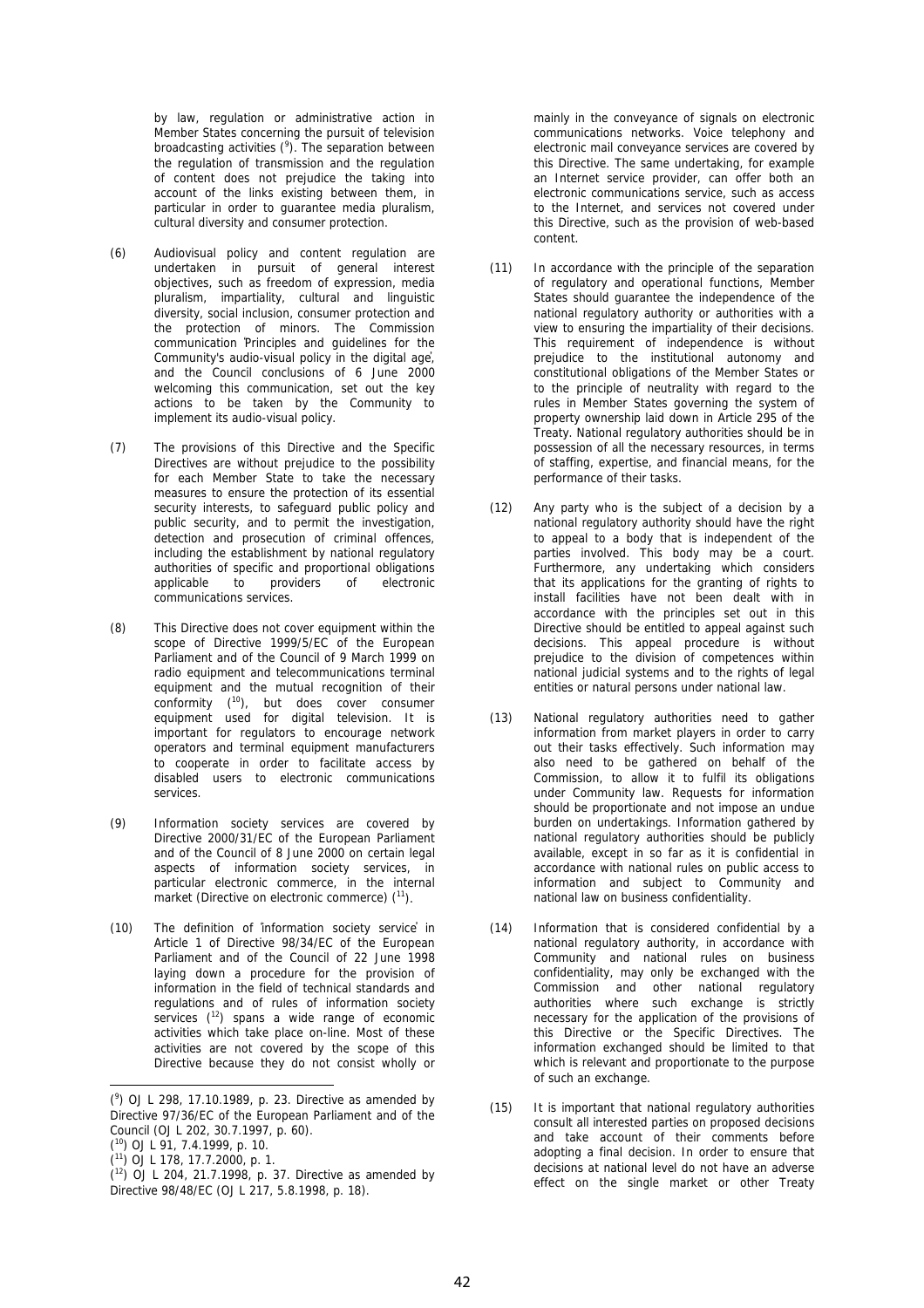by law, regulation or administrative action in Member States concerning the pursuit of television broadcasting activities (<sup>9</sup> ). The separation between the regulation of transmission and the regulation of content does not prejudice the taking into account of the links existing between them, in particular in order to guarantee media pluralism, cultural diversity and consumer protection.

- (6) Audiovisual policy and content regulation are undertaken in pursuit of general interest objectives, such as freedom of expression, media pluralism, impartiality, cultural and linguistic diversity, social inclusion, consumer protection and the protection of minors. The Commission communication Principles and guidelines for the Community's audio-visual policy in the digital age̓, and the Council conclusions of 6 June 2000 welcoming this communication, set out the key actions to be taken by the Community to implement its audio-visual policy.
- (7) The provisions of this Directive and the Specific Directives are without prejudice to the possibility for each Member State to take the necessary measures to ensure the protection of its essential security interests, to safeguard public policy and public security, and to permit the investigation, detection and prosecution of criminal offences, including the establishment by national regulatory authorities of specific and proportional obligations providers of communications services.
- (8) This Directive does not cover equipment within the scope of Directive 1999/5/EC of the European Parliament and of the Council of 9 March 1999 on radio equipment and telecommunications terminal equipment and the mutual recognition of their conformity (<sup>10</sup>), but does cover consumer equipment used for digital television. It is important for regulators to encourage network operators and terminal equipment manufacturers to cooperate in order to facilitate access by disabled users to electronic communications services.
- (9) Information society services are covered by Directive 2000/31/EC of the European Parliament and of the Council of 8 June 2000 on certain legal aspects of information society services, in particular electronic commerce, in the internal market (Directive on electronic commerce) (11).
- (10) The definition of information society service' in Article 1 of Directive 98/34/EC of the European Parliament and of the Council of 22 June 1998 laying down a procedure for the provision of information in the field of technical standards and regulations and of rules of information society services  $(^{12})$  spans a wide range of economic activities which take place on-line. Most of these activities are not covered by the scope of this Directive because they do not consist wholly or

mainly in the conveyance of signals on electronic communications networks. Voice telephony and electronic mail conveyance services are covered by this Directive. The same undertaking, for example an Internet service provider, can offer both an electronic communications service, such as access to the Internet, and services not covered under this Directive, such as the provision of web-based content.

- (11) In accordance with the principle of the separation of regulatory and operational functions, Member States should guarantee the independence of the national regulatory authority or authorities with a view to ensuring the impartiality of their decisions. This requirement of independence is without prejudice to the institutional autonomy and constitutional obligations of the Member States or to the principle of neutrality with regard to the rules in Member States governing the system of property ownership laid down in Article 295 of the Treaty. National regulatory authorities should be in possession of all the necessary resources, in terms of staffing, expertise, and financial means, for the performance of their tasks.
- (12) Any party who is the subject of a decision by a national regulatory authority should have the right to appeal to a body that is independent of the parties involved. This body may be a court. Furthermore, any undertaking which considers that its applications for the granting of rights to install facilities have not been dealt with in accordance with the principles set out in this Directive should be entitled to appeal against such decisions. This appeal procedure is without prejudice to the division of competences within national judicial systems and to the rights of legal entities or natural persons under national law.
- (13) National regulatory authorities need to gather information from market players in order to carry out their tasks effectively. Such information may also need to be gathered on behalf of the Commission, to allow it to fulfil its obligations under Community law. Requests for information should be proportionate and not impose an undue burden on undertakings. Information gathered by national regulatory authorities should be publicly available, except in so far as it is confidential in accordance with national rules on public access to information and subject to Community and national law on business confidentiality.
- (14) Information that is considered confidential by a national regulatory authority, in accordance with Community and national rules on business confidentiality, may only be exchanged with the Commission and other national regulatory authorities where such exchange is strictly necessary for the application of the provisions of this Directive or the Specific Directives. The information exchanged should be limited to that which is relevant and proportionate to the purpose of such an exchange.
- (15) It is important that national regulatory authorities consult all interested parties on proposed decisions and take account of their comments before adopting a final decision. In order to ensure that decisions at national level do not have an adverse effect on the single market or other Treaty

 ( 9 ) OJ L 298, 17.10.1989, p. 23. Directive as amended by Directive 97/36/EC of the European Parliament and of the Council (OJ L 202, 30.7.1997, p. 60).

<sup>(</sup> 10) OJ L 91, 7.4.1999, p. 10.

<sup>(</sup> 11) OJ L 178, 17.7.2000, p. 1.

<sup>(</sup> 12) OJ L 204, 21.7.1998, p. 37. Directive as amended by Directive 98/48/EC (OJ L 217, 5.8.1998, p. 18).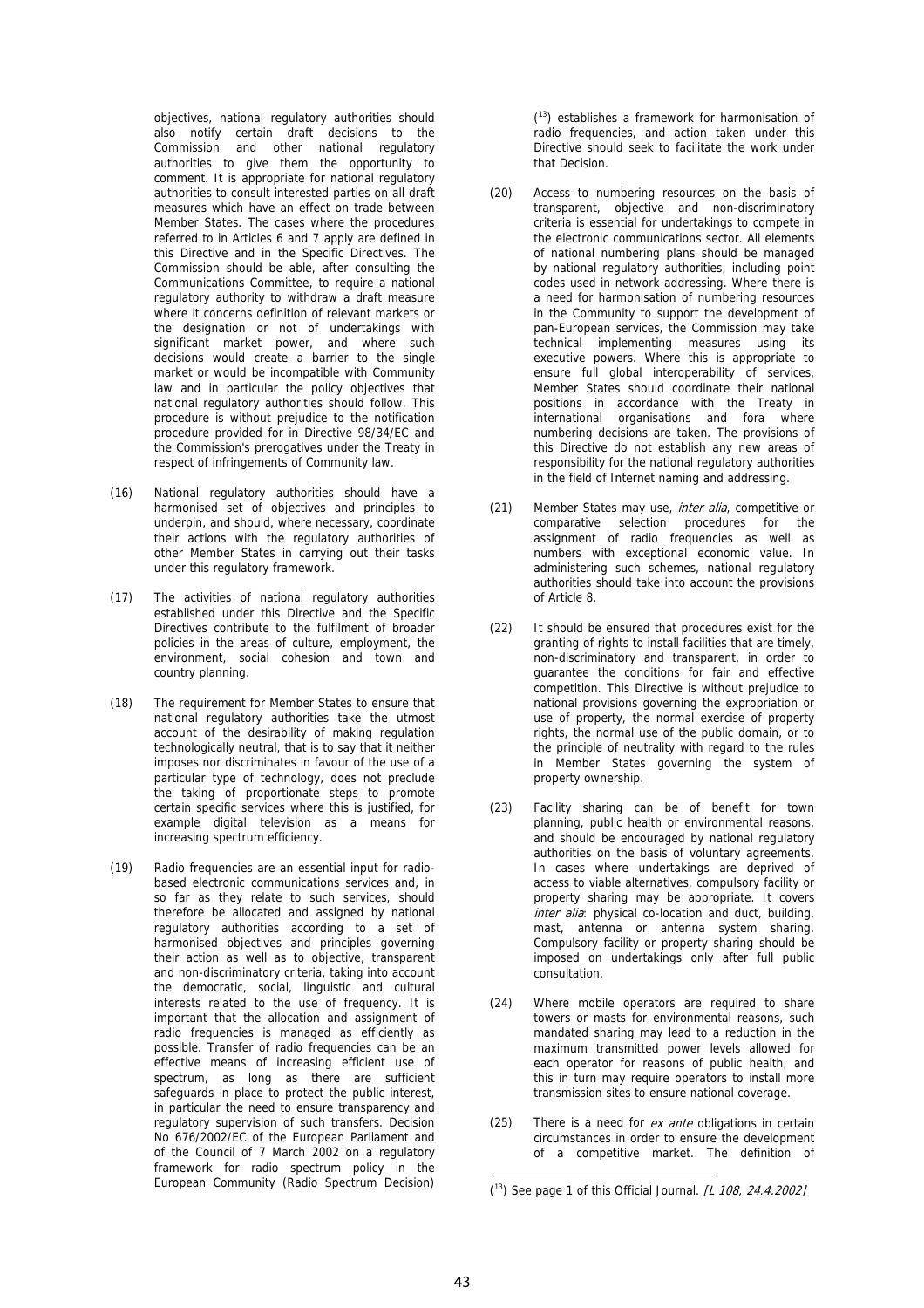objectives, national regulatory authorities should also notify certain draft decisions to the Commission and other national regulatory authorities to give them the opportunity to comment. It is appropriate for national regulatory authorities to consult interested parties on all draft measures which have an effect on trade between Member States. The cases where the procedures referred to in Articles 6 and 7 apply are defined in this Directive and in the Specific Directives. The Commission should be able, after consulting the Communications Committee, to require a national regulatory authority to withdraw a draft measure where it concerns definition of relevant markets or the designation or not of undertakings with significant market power, and where such decisions would create a barrier to the single market or would be incompatible with Community law and in particular the policy objectives that national regulatory authorities should follow. This procedure is without prejudice to the notification procedure provided for in Directive 98/34/EC and the Commission's prerogatives under the Treaty in respect of infringements of Community law.

- (16) National regulatory authorities should have a harmonised set of objectives and principles to underpin, and should, where necessary, coordinate their actions with the regulatory authorities of other Member States in carrying out their tasks under this regulatory framework.
- (17) The activities of national regulatory authorities established under this Directive and the Specific Directives contribute to the fulfilment of broader policies in the areas of culture, employment, the environment, social cohesion and town and country planning.
- (18) The requirement for Member States to ensure that national regulatory authorities take the utmost account of the desirability of making regulation technologically neutral, that is to say that it neither imposes nor discriminates in favour of the use of a particular type of technology, does not preclude the taking of proportionate steps to promote certain specific services where this is justified, for example digital television as a means for increasing spectrum efficiency.
- (19) Radio frequencies are an essential input for radiobased electronic communications services and, in so far as they relate to such services, should therefore be allocated and assigned by national regulatory authorities according to a set of harmonised objectives and principles governing their action as well as to objective, transparent and non-discriminatory criteria, taking into account the democratic, social, linguistic and cultural interests related to the use of frequency. It is important that the allocation and assignment of radio frequencies is managed as efficiently as possible. Transfer of radio frequencies can be an effective means of increasing efficient use of spectrum, as long as there are sufficient safeguards in place to protect the public interest, in particular the need to ensure transparency and regulatory supervision of such transfers. Decision No 676/2002/EC of the European Parliament and of the Council of 7 March 2002 on a regulatory framework for radio spectrum policy in the European Community (Radio Spectrum Decision)

( 13) establishes a framework for harmonisation of radio frequencies, and action taken under this Directive should seek to facilitate the work under that Decision.

- (20) Access to numbering resources on the basis of transparent, objective and non-discriminatory criteria is essential for undertakings to compete in the electronic communications sector. All elements of national numbering plans should be managed by national regulatory authorities, including point codes used in network addressing. Where there is a need for harmonisation of numbering resources in the Community to support the development of pan-European services, the Commission may take technical implementing measures using its executive powers. Where this is appropriate to ensure full global interoperability of services, Member States should coordinate their national positions in accordance with the Treaty in international organisations and fora where numbering decisions are taken. The provisions of this Directive do not establish any new areas of responsibility for the national regulatory authorities in the field of Internet naming and addressing.
- (21) Member States may use, *inter alia*, competitive or<br>comparative selection procedures for the comparative selection procedures for assignment of radio frequencies as well as numbers with exceptional economic value. In administering such schemes, national regulatory authorities should take into account the provisions of Article 8.
- (22) It should be ensured that procedures exist for the granting of rights to install facilities that are timely, non-discriminatory and transparent, in order to guarantee the conditions for fair and effective competition. This Directive is without prejudice to national provisions governing the expropriation or use of property, the normal exercise of property rights, the normal use of the public domain, or to the principle of neutrality with regard to the rules in Member States governing the system of property ownership.
- (23) Facility sharing can be of benefit for town planning, public health or environmental reasons, and should be encouraged by national regulatory authorities on the basis of voluntary agreements. In cases where undertakings are deprived of access to viable alternatives, compulsory facility or property sharing may be appropriate. It covers inter alia: physical co-location and duct, building, mast, antenna or antenna system sharing. Compulsory facility or property sharing should be imposed on undertakings only after full public consultation.
- (24) Where mobile operators are required to share towers or masts for environmental reasons, such mandated sharing may lead to a reduction in the maximum transmitted power levels allowed for each operator for reasons of public health, and this in turn may require operators to install more transmission sites to ensure national coverage.
- (25) There is a need for ex ante obligations in certain circumstances in order to ensure the development of a competitive market. The definition of

 $\overline{a}$ 

 $(13)$  See page 1 of this Official Journal.  $[1 108, 24.4.2002]$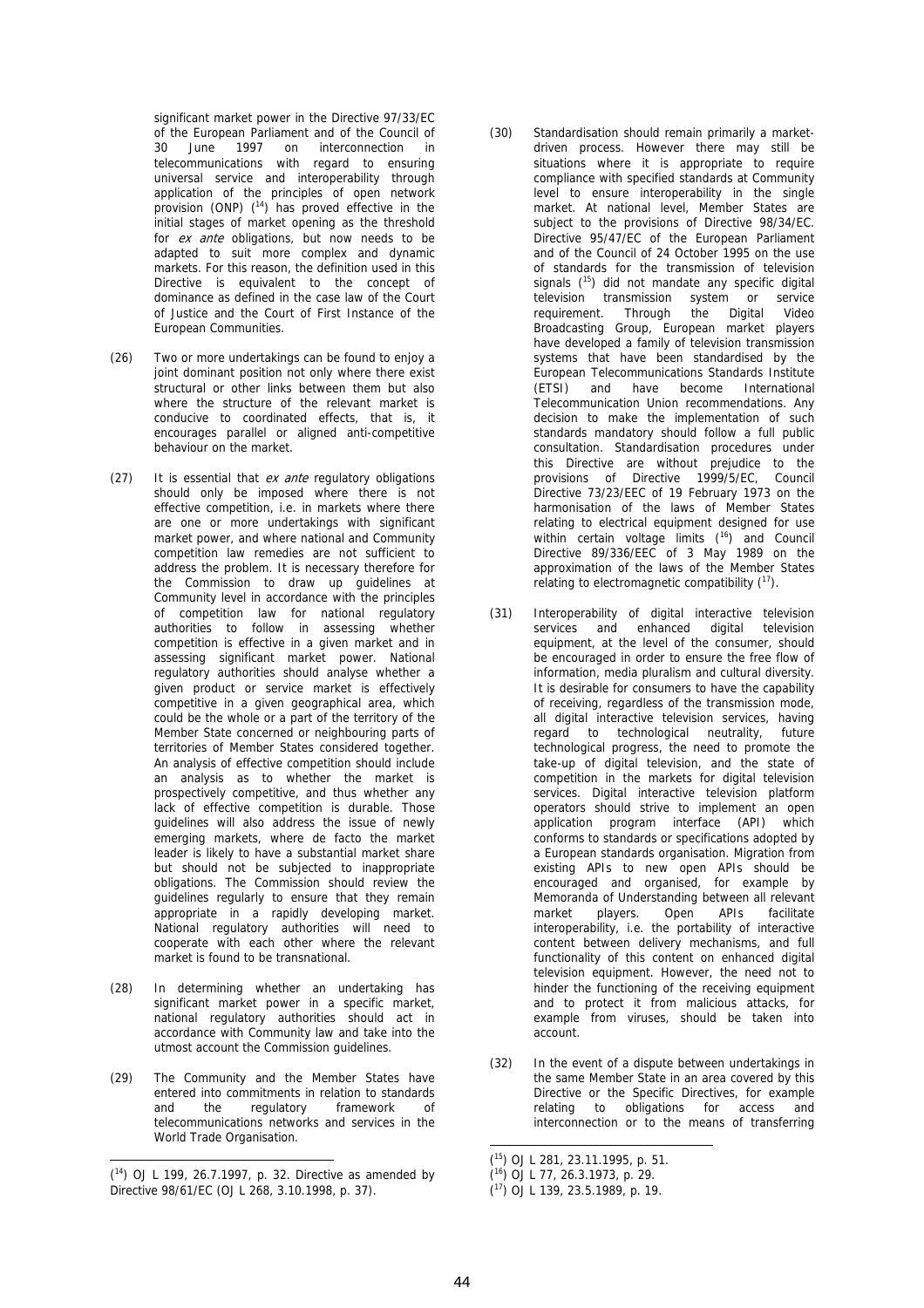significant market power in the Directive 97/33/EC of the European Parliament and of the Council of<br>30 June 1997 on interconnection in 1997 on interconnection in telecommunications with regard to ensuring universal service and interoperability through application of the principles of open network<br>provision (ONP) (<sup>14</sup>) has proved effective in the initial stages of market opening as the threshold for ex ante obligations, but now needs to be adapted to suit more complex and dynamic markets. For this reason, the definition used in this Directive is equivalent to the concept of dominance as defined in the case law of the Court of Justice and the Court of First Instance of the European Communities.

- (26) Two or more undertakings can be found to enjoy a joint dominant position not only where there exist structural or other links between them but also where the structure of the relevant market is conducive to coordinated effects, that is, it encourages parallel or aligned anti-competitive behaviour on the market.
- (27) It is essential that  $ex$  ante regulatory obligations should only be imposed where there is not effective competition, i.e. in markets where there are one or more undertakings with significant market power, and where national and Community competition law remedies are not sufficient to address the problem. It is necessary therefore for the Commission to draw up guidelines at Community level in accordance with the principles of competition law for national regulatory authorities to follow in assessing whether competition is effective in a given market and in assessing significant market power. National regulatory authorities should analyse whether a given product or service market is effectively competitive in a given geographical area, which could be the whole or a part of the territory of the Member State concerned or neighbouring parts of territories of Member States considered together. An analysis of effective competition should include an analysis as to whether the market is prospectively competitive, and thus whether any lack of effective competition is durable. Those guidelines will also address the issue of newly emerging markets, where de facto the market leader is likely to have a substantial market share but should not be subjected to inappropriate obligations. The Commission should review the guidelines regularly to ensure that they remain appropriate in a rapidly developing market. National regulatory authorities will need to cooperate with each other where the relevant market is found to be transnational.
- (28) In determining whether an undertaking has significant market power in a specific market, national regulatory authorities should act in accordance with Community law and take into the utmost account the Commission guidelines.
- (29) The Community and the Member States have entered into commitments in relation to standards<br>and the requlatory framework of regulatory telecommunications networks and services in the World Trade Organisation.

-

- (30) Standardisation should remain primarily a marketdriven process. However there may still be situations where it is appropriate to require compliance with specified standards at Community level to ensure interoperability in the single market. At national level, Member States are subject to the provisions of Directive 98/34/EC. Directive 95/47/EC of the European Parliament and of the Council of 24 October 1995 on the use of standards for the transmission of television signals (<sup>15</sup>) did not mandate any specific digital television transmission system or service requirement. Through the Digital Video Broadcasting Group, European market players have developed a family of television transmission systems that have been standardised by the European Telecommunications Standards Institute (ETSI) and have become International Telecommunication Union recommendations. Any decision to make the implementation of such standards mandatory should follow a full public consultation. Standardisation procedures under this Directive are without prejudice to the provisions of Directive 1999/5/EC, Council Directive 73/23/EEC of 19 February 1973 on the harmonisation of the laws of Member States relating to electrical equipment designed for use within certain voltage limits (<sup>16</sup>) and Council Directive 89/336/EEC of 3 May 1989 on the approximation of the laws of the Member States relating to electromagnetic compatibility (17).
- (31) Interoperability of digital interactive television services and enhanced digital television equipment, at the level of the consumer, should be encouraged in order to ensure the free flow of information, media pluralism and cultural diversity. It is desirable for consumers to have the capability of receiving, regardless of the transmission mode, all digital interactive television services, having regard to technological neutrality, future technological progress, the need to promote the take-up of digital television, and the state of competition in the markets for digital television services. Digital interactive television platform operators should strive to implement an open application program interface (API) which conforms to standards or specifications adopted by a European standards organisation. Migration from existing APIs to new open APIs should be encouraged and organised, for example by Memoranda of Understanding between all relevant market players. Open APIs facilitate interoperability, i.e. the portability of interactive content between delivery mechanisms, and full functionality of this content on enhanced digital television equipment. However, the need not to hinder the functioning of the receiving equipment and to protect it from malicious attacks, for example from viruses, should be taken into account.
- (32) In the event of a dispute between undertakings in the same Member State in an area covered by this Directive or the Specific Directives, for example<br>relating to obligations for access and relating to obligations for access interconnection or to the means of transferring

 $\overline{a}$ 

<sup>(</sup> 14) OJ L 199, 26.7.1997, p. 32. Directive as amended by Directive 98/61/EC (OJ L 268, 3.10.1998, p. 37).

<sup>(</sup> 15) OJ L 281, 23.11.1995, p. 51.

<sup>(</sup> 16) OJ L 77, 26.3.1973, p. 29.

<sup>(</sup> 17) OJ L 139, 23.5.1989, p. 19.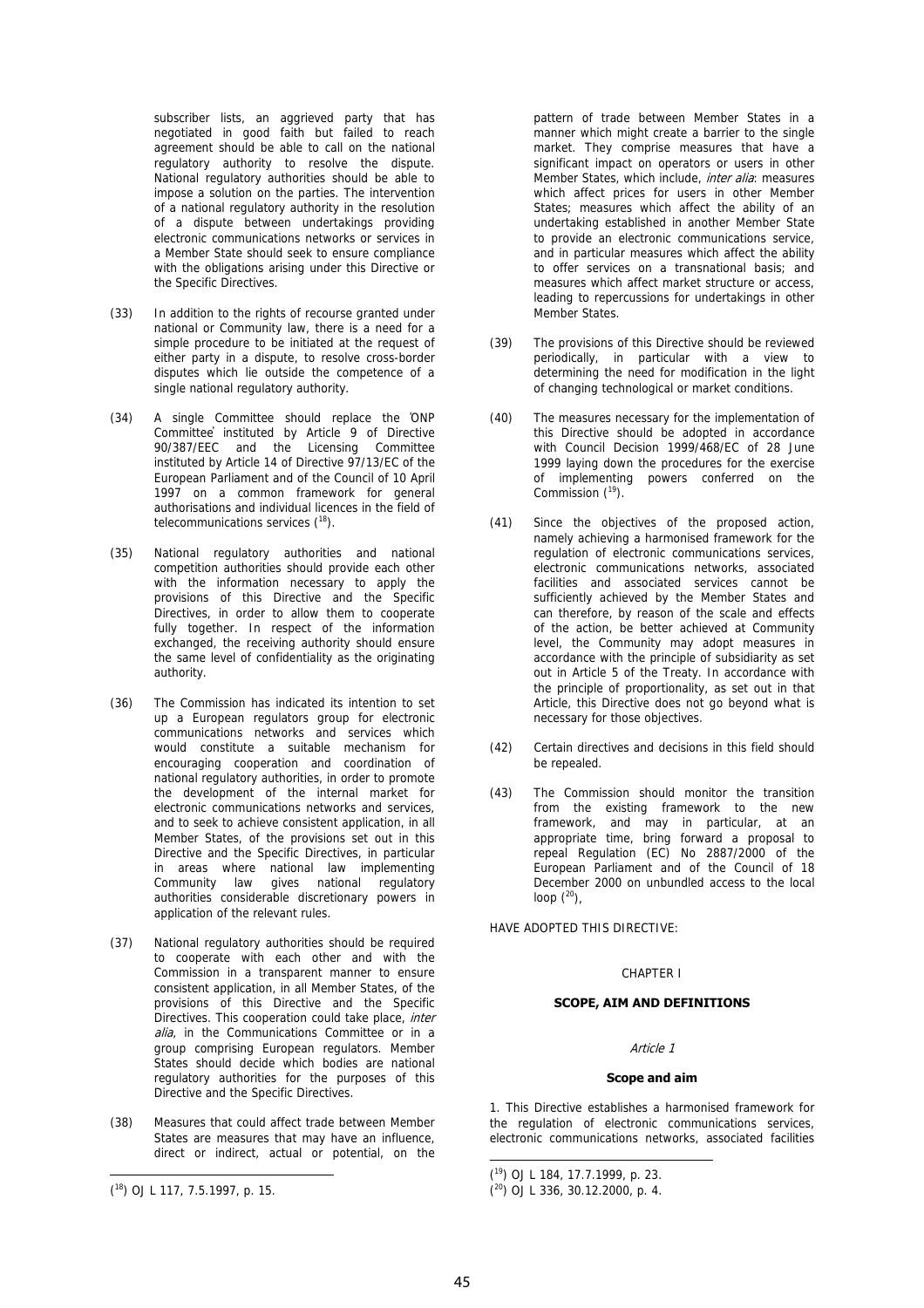subscriber lists, an aggrieved party that has negotiated in good faith but failed to reach agreement should be able to call on the national regulatory authority to resolve the dispute. National regulatory authorities should be able to impose a solution on the parties. The intervention of a national regulatory authority in the resolution of a dispute between undertakings providing electronic communications networks or services in a Member State should seek to ensure compliance with the obligations arising under this Directive or the Specific Directives.

- (33) In addition to the rights of recourse granted under national or Community law, there is a need for a simple procedure to be initiated at the request of either party in a dispute, to resolve cross-border disputes which lie outside the competence of a single national regulatory authority.
- (34) A single Committee should replace the 'ONP Committee̓ instituted by Article 9 of Directive 90/387/EEC and the Licensing Committee instituted by Article 14 of Directive 97/13/EC of the European Parliament and of the Council of 10 April 1997 on a common framework for general authorisations and individual licences in the field of telecommunications services (18).
- (35) National regulatory authorities and national competition authorities should provide each other with the information necessary to apply the provisions of this Directive and the Specific Directives, in order to allow them to cooperate fully together. In respect of the information exchanged, the receiving authority should ensure the same level of confidentiality as the originating authority.
- (36) The Commission has indicated its intention to set up a European regulators group for electronic communications networks and services which would constitute a suitable mechanism for encouraging cooperation and coordination of national regulatory authorities, in order to promote the development of the internal market for electronic communications networks and services, and to seek to achieve consistent application, in all Member States, of the provisions set out in this Directive and the Specific Directives, in particular in areas where national law implementing Community law gives national regulatory authorities considerable discretionary powers in application of the relevant rules.
- (37) National regulatory authorities should be required to cooperate with each other and with the Commission in a transparent manner to ensure consistent application, in all Member States, of the provisions of this Directive and the Specific Directives. This cooperation could take place, inter alia, in the Communications Committee or in a group comprising European regulators. Member States should decide which bodies are national regulatory authorities for the purposes of this Directive and the Specific Directives.
- (38) Measures that could affect trade between Member States are measures that may have an influence, direct or indirect, actual or potential, on the

-

pattern of trade between Member States in a manner which might create a barrier to the single market. They comprise measures that have a significant impact on operators or users in other Member States, which include, *inter alia*: measures which affect prices for users in other Member States; measures which affect the ability of an undertaking established in another Member State to provide an electronic communications service, and in particular measures which affect the ability to offer services on a transnational basis; and measures which affect market structure or access, leading to repercussions for undertakings in other Member States.

- (39) The provisions of this Directive should be reviewed periodically, in particular with a view to determining the need for modification in the light of changing technological or market conditions.
- (40) The measures necessary for the implementation of this Directive should be adopted in accordance with Council Decision 1999/468/EC of 28 June 1999 laying down the procedures for the exercise of implementing powers conferred on the Commission (19).
- (41) Since the objectives of the proposed action, namely achieving a harmonised framework for the regulation of electronic communications services, electronic communications networks, associated facilities and associated services cannot be sufficiently achieved by the Member States and can therefore, by reason of the scale and effects of the action, be better achieved at Community level, the Community may adopt measures in accordance with the principle of subsidiarity as set out in Article 5 of the Treaty. In accordance with the principle of proportionality, as set out in that Article, this Directive does not go beyond what is necessary for those objectives.
- (42) Certain directives and decisions in this field should be repealed.
- (43) The Commission should monitor the transition from the existing framework to the new framework, and may in particular, at an appropriate time, bring forward a proposal to repeal Regulation (EC) No 2887/2000 of the European Parliament and of the Council of 18 December 2000 on unbundled access to the local loop  $(^{20})$ ,

HAVE ADOPTED THIS DIRECTIVE:

### CHAPTER I

## **SCOPE, AIM AND DEFINITIONS**

### Article 1

### **Scope and aim**

1. This Directive establishes a harmonised framework for the regulation of electronic communications services, electronic communications networks, associated facilities

 $\overline{a}$ 

<sup>(</sup> 18) OJ L 117, 7.5.1997, p. 15.

<sup>(</sup> 19) OJ L 184, 17.7.1999, p. 23.

<sup>(</sup> 20) OJ L 336, 30.12.2000, p. 4.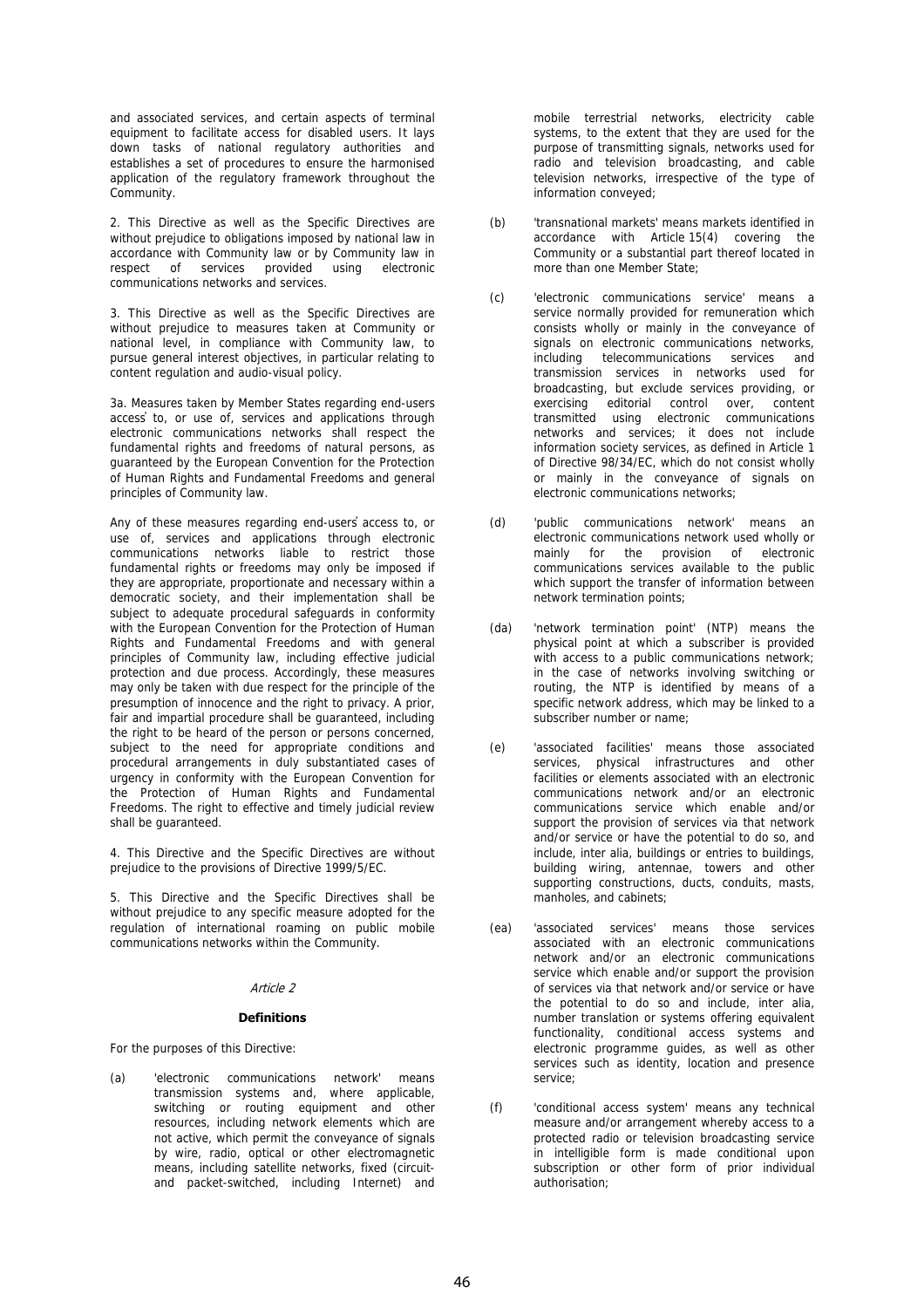and associated services, and certain aspects of terminal equipment to facilitate access for disabled users. It lays down tasks of national regulatory authorities and establishes a set of procedures to ensure the harmonised application of the regulatory framework throughout the Community.

2. This Directive as well as the Specific Directives are without prejudice to obligations imposed by national law in accordance with Community law or by Community law in respect of services provided using electronic communications networks and services.

3. This Directive as well as the Specific Directives are without prejudice to measures taken at Community or national level, in compliance with Community law, to pursue general interest objectives, in particular relating to content regulation and audio-visual policy.

3a. Measures taken by Member States regarding end-users access̓ to, or use of, services and applications through electronic communications networks shall respect the fundamental rights and freedoms of natural persons, as guaranteed by the European Convention for the Protection of Human Rights and Fundamental Freedoms and general principles of Community law.

Any of these measures regarding end-users̓ access to, or use of, services and applications through electronic communications networks liable to restrict those fundamental rights or freedoms may only be imposed if they are appropriate, proportionate and necessary within a democratic society, and their implementation shall be subject to adequate procedural safeguards in conformity with the European Convention for the Protection of Human Rights and Fundamental Freedoms and with general principles of Community law, including effective judicial protection and due process. Accordingly, these measures may only be taken with due respect for the principle of the presumption of innocence and the right to privacy. A prior, fair and impartial procedure shall be guaranteed, including the right to be heard of the person or persons concerned, subject to the need for appropriate conditions and procedural arrangements in duly substantiated cases of urgency in conformity with the European Convention for the Protection of Human Rights and Fundamental Freedoms. The right to effective and timely judicial review shall be guaranteed.

4. This Directive and the Specific Directives are without prejudice to the provisions of Directive 1999/5/EC.

5. This Directive and the Specific Directives shall be without prejudice to any specific measure adopted for the regulation of international roaming on public mobile communications networks within the Community.

### Article 2

### **Definitions**

For the purposes of this Directive:

(a) 'electronic communications network' means transmission systems and, where applicable, switching or routing equipment and other resources, including network elements which are not active, which permit the conveyance of signals by wire, radio, optical or other electromagnetic means, including satellite networks, fixed (circuitand packet-switched, including Internet) and

mobile terrestrial networks, electricity cable systems, to the extent that they are used for the purpose of transmitting signals, networks used for radio and television broadcasting, and cable television networks, irrespective of the type of information conveyed;

- (b) 'transnational markets' means markets identified in accordance with Article 15(4) covering the Community or a substantial part thereof located in more than one Member State:
- (c) 'electronic communications service' means a service normally provided for remuneration which consists wholly or mainly in the conveyance of signals on electronic communications networks, including telecommunications services and transmission services in networks used for broadcasting, but exclude services providing, or exercising editorial control over, content transmitted using electronic communications networks and services; it does not include information society services, as defined in Article 1 of Directive 98/34/EC, which do not consist wholly or mainly in the conveyance of signals on electronic communications networks;
- (d) 'public communications network' means an electronic communications network used wholly or mainly for the provision of electronic communications services available to the public which support the transfer of information between network termination points;
- (da) 'network termination point' (NTP) means the physical point at which a subscriber is provided with access to a public communications network; in the case of networks involving switching or routing, the NTP is identified by means of a specific network address, which may be linked to a subscriber number or name;
- (e) 'associated facilities' means those associated services, physical infrastructures and other facilities or elements associated with an electronic communications network and/or an electronic communications service which enable and/or support the provision of services via that network and/or service or have the potential to do so, and include, inter alia, buildings or entries to buildings, building wiring, antennae, towers and other supporting constructions, ducts, conduits, masts, manholes, and cabinets;
- (ea) 'associated services' means those services associated with an electronic communications network and/or an electronic communications service which enable and/or support the provision of services via that network and/or service or have the potential to do so and include, inter alia, number translation or systems offering equivalent functionality, conditional access systems and electronic programme guides, as well as other services such as identity, location and presence service;
- (f) 'conditional access system' means any technical measure and/or arrangement whereby access to a protected radio or television broadcasting service in intelligible form is made conditional upon subscription or other form of prior individual authorisation;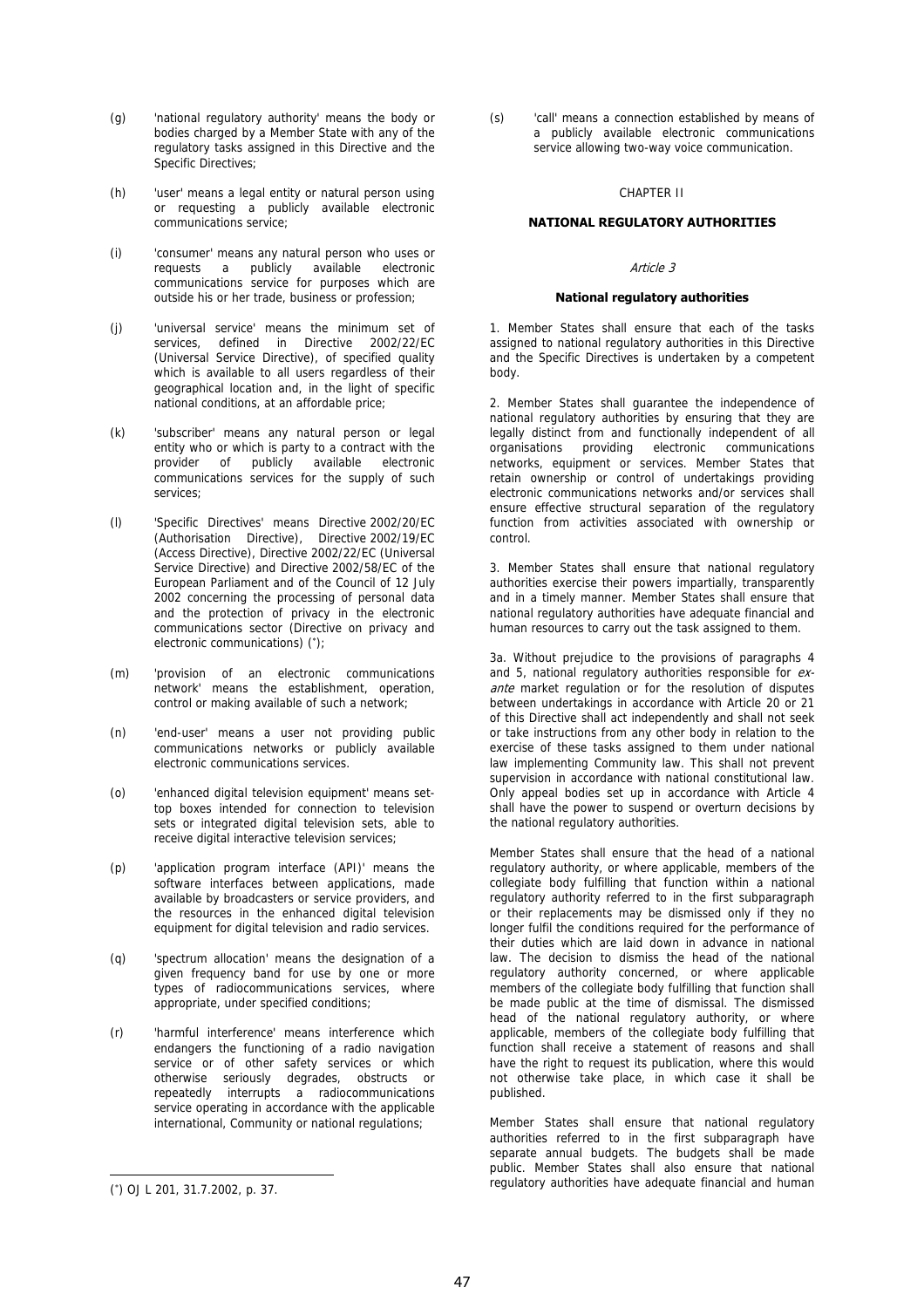- (g) 'national regulatory authority' means the body or bodies charged by a Member State with any of the regulatory tasks assigned in this Directive and the Specific Directives:
- (h) 'user' means a legal entity or natural person using or requesting a publicly available electronic communications service;
- (i) 'consumer' means any natural person who uses or requests a publicly available communications service for purposes which are outside his or her trade, business or profession;
- (j) 'universal service' means the minimum set of services, defined in Directive 2002/22/EC (Universal Service Directive), of specified quality which is available to all users regardless of their geographical location and, in the light of specific national conditions, at an affordable price;
- (k) 'subscriber' means any natural person or legal entity who or which is party to a contract with the provider of publicly available electronic provider of publicly communications services for the supply of such services;
- (l) 'Specific Directives' means Directive 2002/20/EC (Authorisation Directive), Directive 2002/19/EC (Access Directive), Directive 2002/22/EC (Universal Service Directive) and Directive 2002/58/EC of the European Parliament and of the Council of 12 July 2002 concerning the processing of personal data and the protection of privacy in the electronic communications sector (Directive on privacy and electronic communications) (<sup>∗</sup> );
- (m) 'provision of an electronic communications network' means the establishment, operation, control or making available of such a network;
- (n) 'end-user' means a user not providing public communications networks or publicly available electronic communications services.
- (o) 'enhanced digital television equipment' means settop boxes intended for connection to television sets or integrated digital television sets, able to receive digital interactive television services;
- (p) 'application program interface (API)' means the software interfaces between applications, made available by broadcasters or service providers, and the resources in the enhanced digital television equipment for digital television and radio services.
- (q) 'spectrum allocation' means the designation of a given frequency band for use by one or more types of radiocommunications services, where appropriate, under specified conditions;
- (r) 'harmful interference' means interference which endangers the functioning of a radio navigation service or of other safety services or which otherwise seriously degrades, obstructs or repeatedly interrupts a radiocommunications service operating in accordance with the applicable international, Community or national regulations;

1

(s) 'call' means a connection established by means of a publicly available electronic communications service allowing two-way voice communication.

### CHAPTER II

## **NATIONAL REGULATORY AUTHORITIES**

## Article 3

### **National regulatory authorities**

1. Member States shall ensure that each of the tasks assigned to national regulatory authorities in this Directive and the Specific Directives is undertaken by a competent body.

2. Member States shall guarantee the independence of national regulatory authorities by ensuring that they are legally distinct from and functionally independent of all organisations providing electronic communications networks, equipment or services. Member States that retain ownership or control of undertakings providing electronic communications networks and/or services shall ensure effective structural separation of the regulatory function from activities associated with ownership or control.

3. Member States shall ensure that national regulatory authorities exercise their powers impartially, transparently and in a timely manner. Member States shall ensure that national regulatory authorities have adequate financial and human resources to carry out the task assigned to them.

3a. Without prejudice to the provisions of paragraphs 4 and 5, national regulatory authorities responsible for exante market regulation or for the resolution of disputes between undertakings in accordance with Article 20 or 21 of this Directive shall act independently and shall not seek or take instructions from any other body in relation to the exercise of these tasks assigned to them under national law implementing Community law. This shall not prevent supervision in accordance with national constitutional law. Only appeal bodies set up in accordance with Article 4 shall have the power to suspend or overturn decisions by the national regulatory authorities.

Member States shall ensure that the head of a national regulatory authority, or where applicable, members of the collegiate body fulfilling that function within a national regulatory authority referred to in the first subparagraph or their replacements may be dismissed only if they no longer fulfil the conditions required for the performance of their duties which are laid down in advance in national law. The decision to dismiss the head of the national regulatory authority concerned, or where applicable members of the collegiate body fulfilling that function shall be made public at the time of dismissal. The dismissed head of the national regulatory authority, or where applicable, members of the collegiate body fulfilling that function shall receive a statement of reasons and shall have the right to request its publication, where this would not otherwise take place, in which case it shall be published.

Member States shall ensure that national regulatory authorities referred to in the first subparagraph have separate annual budgets. The budgets shall be made public. Member States shall also ensure that national regulatory authorities have adequate financial and human

<sup>(</sup> ∗ ) OJ L 201, 31.7.2002, p. 37.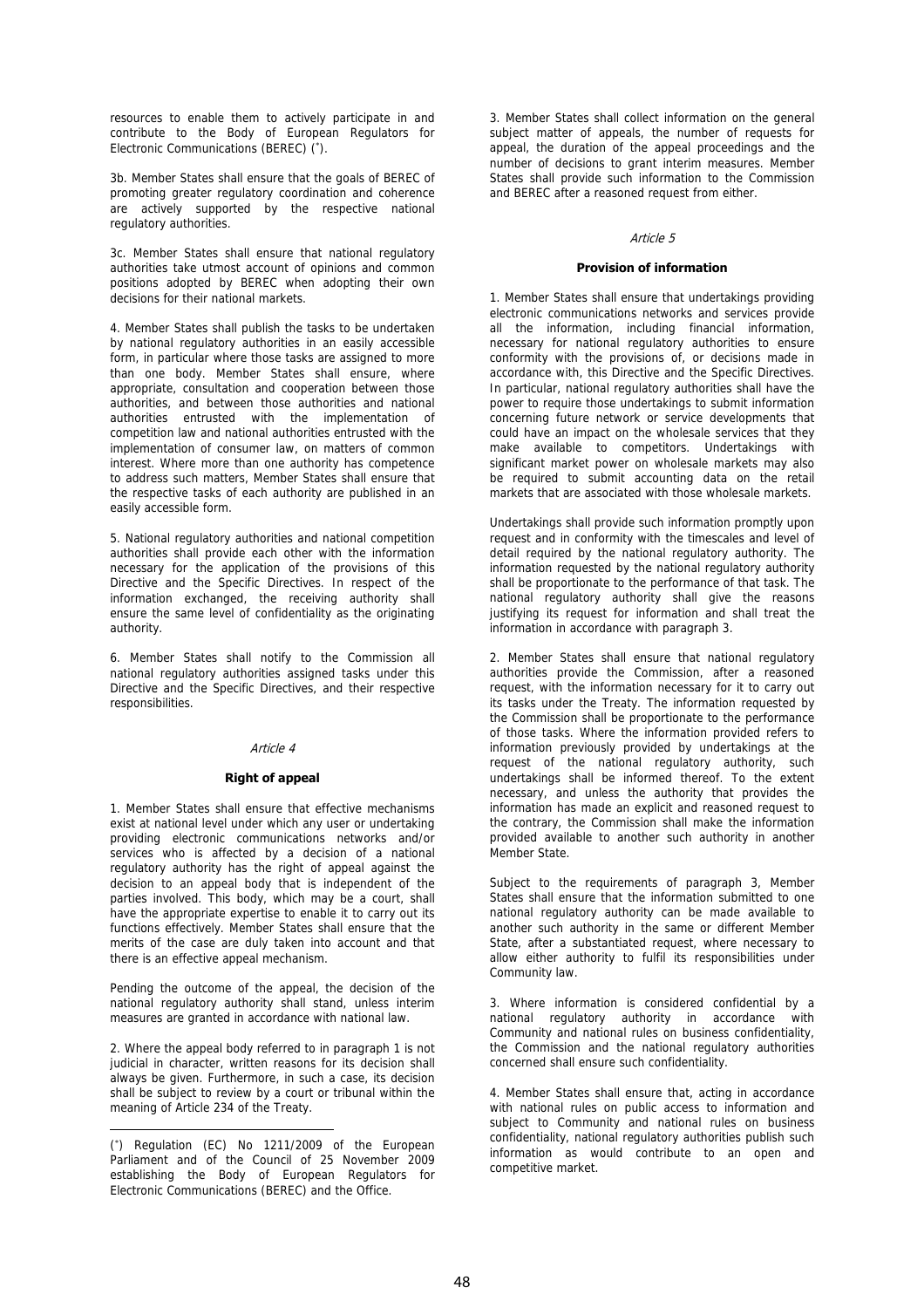resources to enable them to actively participate in and contribute to the Body of European Regulators for Electronic Communications (BEREC) (<sup>∗</sup> ).

3b. Member States shall ensure that the goals of BEREC of promoting greater regulatory coordination and coherence are actively supported by the respective national regulatory authorities.

3c. Member States shall ensure that national regulatory authorities take utmost account of opinions and common positions adopted by BEREC when adopting their own decisions for their national markets.

4. Member States shall publish the tasks to be undertaken by national regulatory authorities in an easily accessible form, in particular where those tasks are assigned to more than one body. Member States shall ensure, where appropriate, consultation and cooperation between those authorities, and between those authorities and national authorities entrusted with the implementation of competition law and national authorities entrusted with the implementation of consumer law, on matters of common interest. Where more than one authority has competence to address such matters, Member States shall ensure that the respective tasks of each authority are published in an easily accessible form.

5. National regulatory authorities and national competition authorities shall provide each other with the information necessary for the application of the provisions of this Directive and the Specific Directives. In respect of the information exchanged, the receiving authority shall ensure the same level of confidentiality as the originating authority.

6. Member States shall notify to the Commission all national regulatory authorities assigned tasks under this Directive and the Specific Directives, and their respective responsibilities.

#### Article 4

#### **Right of appeal**

1. Member States shall ensure that effective mechanisms exist at national level under which any user or undertaking providing electronic communications networks and/or services who is affected by a decision of a national regulatory authority has the right of appeal against the decision to an appeal body that is independent of the parties involved. This body, which may be a court, shall have the appropriate expertise to enable it to carry out its functions effectively. Member States shall ensure that the merits of the case are duly taken into account and that there is an effective appeal mechanism.

Pending the outcome of the appeal, the decision of the national regulatory authority shall stand, unless interim measures are granted in accordance with national law.

2. Where the appeal body referred to in paragraph 1 is not judicial in character, written reasons for its decision shall always be given. Furthermore, in such a case, its decision shall be subject to review by a court or tribunal within the meaning of Article 234 of the Treaty.

-

3. Member States shall collect information on the general subject matter of appeals, the number of requests for appeal, the duration of the appeal proceedings and the number of decisions to grant interim measures. Member States shall provide such information to the Commission and BEREC after a reasoned request from either.

### Article 5

### **Provision of information**

1. Member States shall ensure that undertakings providing electronic communications networks and services provide all the information, including financial information, necessary for national regulatory authorities to ensure conformity with the provisions of, or decisions made in accordance with, this Directive and the Specific Directives. In particular, national regulatory authorities shall have the power to require those undertakings to submit information concerning future network or service developments that could have an impact on the wholesale services that they make available to competitors. Undertakings with significant market power on wholesale markets may also be required to submit accounting data on the retail markets that are associated with those wholesale markets.

Undertakings shall provide such information promptly upon request and in conformity with the timescales and level of detail required by the national regulatory authority. The information requested by the national regulatory authority shall be proportionate to the performance of that task. The national regulatory authority shall give the reasons justifying its request for information and shall treat the information in accordance with paragraph 3.

2. Member States shall ensure that national regulatory authorities provide the Commission, after a reasoned request, with the information necessary for it to carry out its tasks under the Treaty. The information requested by the Commission shall be proportionate to the performance of those tasks. Where the information provided refers to information previously provided by undertakings at the request of the national regulatory authority, such undertakings shall be informed thereof. To the extent necessary, and unless the authority that provides the information has made an explicit and reasoned request to the contrary, the Commission shall make the information provided available to another such authority in another Member State.

Subiect to the requirements of paragraph 3, Member States shall ensure that the information submitted to one national regulatory authority can be made available to another such authority in the same or different Member State, after a substantiated request, where necessary to allow either authority to fulfil its responsibilities under Community law.

3. Where information is considered confidential by a national regulatory authority in accordance with Community and national rules on business confidentiality, the Commission and the national regulatory authorities concerned shall ensure such confidentiality.

4. Member States shall ensure that, acting in accordance with national rules on public access to information and subject to Community and national rules on business confidentiality, national regulatory authorities publish such information as would contribute to an open and competitive market.

<sup>(</sup> ∗ ) Regulation (EC) No 1211/2009 of the European Parliament and of the Council of 25 November 2009 establishing the Body of European Regulators for Electronic Communications (BEREC) and the Office.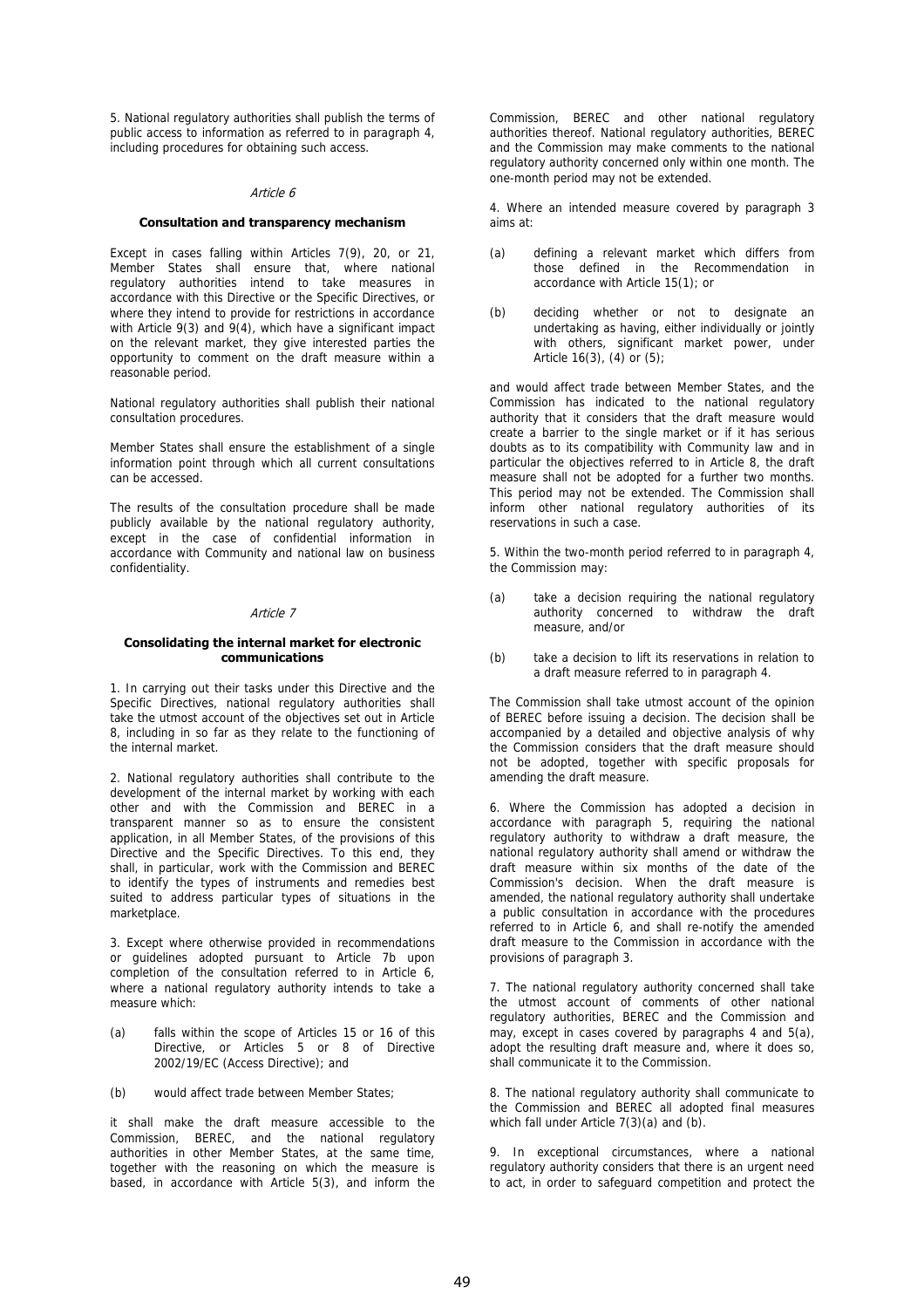5. National regulatory authorities shall publish the terms of public access to information as referred to in paragraph 4, including procedures for obtaining such access.

### Article 6

### **Consultation and transparency mechanism**

Except in cases falling within Articles 7(9), 20, or 21, Member States shall ensure that, where national regulatory authorities intend to take measures in accordance with this Directive or the Specific Directives, or where they intend to provide for restrictions in accordance with Article 9(3) and 9(4), which have a significant impact on the relevant market, they give interested parties the opportunity to comment on the draft measure within a reasonable period.

National regulatory authorities shall publish their national consultation procedures.

Member States shall ensure the establishment of a single information point through which all current consultations can be accessed.

The results of the consultation procedure shall be made publicly available by the national regulatory authority, except in the case of confidential information in accordance with Community and national law on business confidentiality.

#### Article 7

#### **Consolidating the internal market for electronic communications**

1. In carrying out their tasks under this Directive and the Specific Directives, national regulatory authorities shall take the utmost account of the objectives set out in Article 8, including in so far as they relate to the functioning of the internal market.

2. National regulatory authorities shall contribute to the development of the internal market by working with each other and with the Commission and BEREC in a transparent manner so as to ensure the consistent application, in all Member States, of the provisions of this Directive and the Specific Directives. To this end, they shall, in particular, work with the Commission and BEREC to identify the types of instruments and remedies best suited to address particular types of situations in the marketplace.

3. Except where otherwise provided in recommendations or guidelines adopted pursuant to Article 7b upon completion of the consultation referred to in Article 6, where a national regulatory authority intends to take a measure which:

- (a) falls within the scope of Articles 15 or 16 of this Directive, or Articles 5 or 8 of Directive 2002/19/EC (Access Directive); and
- (b) would affect trade between Member States;

it shall make the draft measure accessible to the Commission, BEREC, and the national regulatory authorities in other Member States, at the same time, together with the reasoning on which the measure is based, in accordance with Article 5(3), and inform the Commission, BEREC and other national regulatory authorities thereof. National regulatory authorities, BEREC and the Commission may make comments to the national regulatory authority concerned only within one month. The one-month period may not be extended.

4. Where an intended measure covered by paragraph 3 aims at:

- (a) defining a relevant market which differs from those defined in the Recommendation in accordance with Article 15(1); or
- (b) deciding whether or not to designate an undertaking as having, either individually or jointly with others, significant market power, under Article 16(3), (4) or (5);

and would affect trade between Member States, and the Commission has indicated to the national regulatory authority that it considers that the draft measure would create a barrier to the single market or if it has serious doubts as to its compatibility with Community law and in particular the objectives referred to in Article 8, the draft measure shall not be adopted for a further two months. This period may not be extended. The Commission shall inform other national regulatory authorities of its reservations in such a case.

5. Within the two-month period referred to in paragraph 4, the Commission may:

- (a) take a decision requiring the national regulatory authority concerned to withdraw the draft measure, and/or
- (b) take a decision to lift its reservations in relation to a draft measure referred to in paragraph 4.

The Commission shall take utmost account of the opinion of BEREC before issuing a decision. The decision shall be accompanied by a detailed and objective analysis of why the Commission considers that the draft measure should not be adopted, together with specific proposals for amending the draft measure.

6. Where the Commission has adopted a decision in accordance with paragraph 5, requiring the national regulatory authority to withdraw a draft measure, the national regulatory authority shall amend or withdraw the draft measure within six months of the date of the Commission's decision. When the draft measure is amended, the national regulatory authority shall undertake a public consultation in accordance with the procedures referred to in Article 6, and shall re-notify the amended draft measure to the Commission in accordance with the provisions of paragraph 3.

7. The national regulatory authority concerned shall take the utmost account of comments of other national regulatory authorities, BEREC and the Commission and may, except in cases covered by paragraphs 4 and 5(a), adopt the resulting draft measure and, where it does so, shall communicate it to the Commission.

8. The national regulatory authority shall communicate to the Commission and BEREC all adopted final measures which fall under Article 7(3)(a) and (b).

9. In exceptional circumstances, where a national regulatory authority considers that there is an urgent need to act, in order to safeguard competition and protect the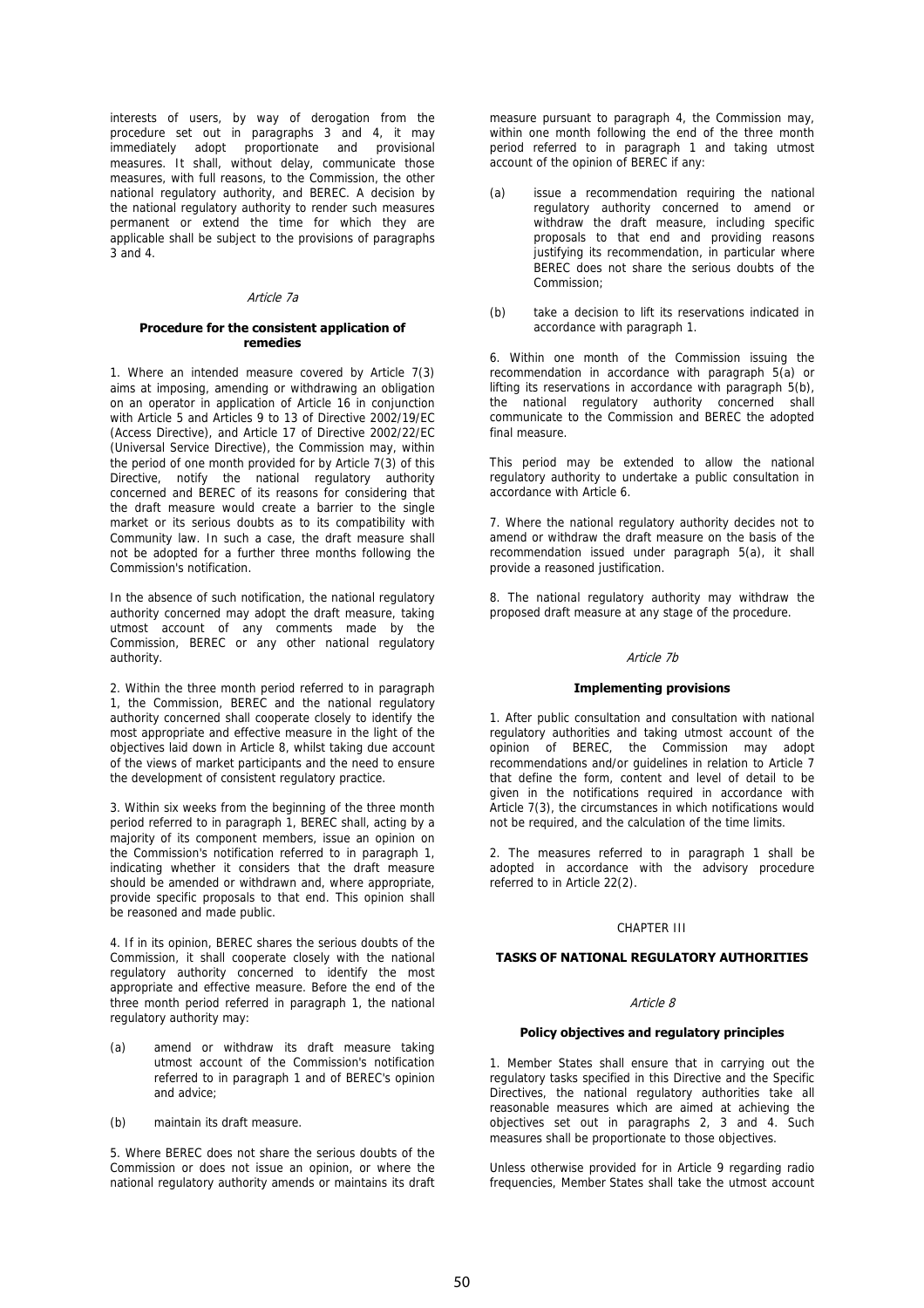interests of users, by way of derogation from the procedure set out in paragraphs 3 and 4, it may<br>immediately adopt proportionate and provisional immediately adopt proportionate and measures. It shall, without delay, communicate those measures, with full reasons, to the Commission, the other national regulatory authority, and BEREC. A decision by the national regulatory authority to render such measures permanent or extend the time for which they are applicable shall be subject to the provisions of paragraphs  $3$  and  $4$ .

### Article 7a

## **Procedure for the consistent application of remedies**

1. Where an intended measure covered by Article 7(3) aims at imposing, amending or withdrawing an obligation on an operator in application of Article 16 in conjunction with Article 5 and Articles 9 to 13 of Directive 2002/19/EC (Access Directive), and Article 17 of Directive 2002/22/EC (Universal Service Directive), the Commission may, within the period of one month provided for by Article 7(3) of this Directive, notify the national regulatory authority concerned and BEREC of its reasons for considering that the draft measure would create a barrier to the single market or its serious doubts as to its compatibility with Community law. In such a case, the draft measure shall not be adopted for a further three months following the Commission's notification.

In the absence of such notification, the national regulatory authority concerned may adopt the draft measure, taking utmost account of any comments made by the Commission, BEREC or any other national regulatory authority.

2. Within the three month period referred to in paragraph 1, the Commission, BEREC and the national regulatory authority concerned shall cooperate closely to identify the most appropriate and effective measure in the light of the objectives laid down in Article 8, whilst taking due account of the views of market participants and the need to ensure the development of consistent regulatory practice.

3. Within six weeks from the beginning of the three month period referred to in paragraph 1, BEREC shall, acting by a majority of its component members, issue an opinion on the Commission's notification referred to in paragraph 1, indicating whether it considers that the draft measure should be amended or withdrawn and, where appropriate, provide specific proposals to that end. This opinion shall be reasoned and made public.

4. If in its opinion, BEREC shares the serious doubts of the Commission, it shall cooperate closely with the national regulatory authority concerned to identify the most appropriate and effective measure. Before the end of the three month period referred in paragraph 1, the national regulatory authority may:

- (a) amend or withdraw its draft measure taking utmost account of the Commission's notification referred to in paragraph 1 and of BEREC's opinion and advice;
- (b) maintain its draft measure.

5. Where BEREC does not share the serious doubts of the Commission or does not issue an opinion, or where the national regulatory authority amends or maintains its draft measure pursuant to paragraph 4, the Commission may, within one month following the end of the three month period referred to in paragraph 1 and taking utmost account of the opinion of BEREC if any:

- (a) issue a recommendation requiring the national regulatory authority concerned to amend or withdraw the draft measure, including specific proposals to that end and providing reasons justifying its recommendation, in particular where BEREC does not share the serious doubts of the Commission;
- (b) take a decision to lift its reservations indicated in accordance with paragraph 1.

6. Within one month of the Commission issuing the recommendation in accordance with paragraph 5(a) or lifting its reservations in accordance with paragraph 5(b), the national regulatory authority concerned shall communicate to the Commission and BEREC the adopted final measure.

This period may be extended to allow the national regulatory authority to undertake a public consultation in accordance with Article 6.

7. Where the national regulatory authority decides not to amend or withdraw the draft measure on the basis of the recommendation issued under paragraph 5(a), it shall provide a reasoned justification.

8. The national regulatory authority may withdraw the proposed draft measure at any stage of the procedure.

## Article 7b

### **Implementing provisions**

1. After public consultation and consultation with national regulatory authorities and taking utmost account of the opinion of BEREC, the Commission may adopt recommendations and/or guidelines in relation to Article 7 that define the form, content and level of detail to be given in the notifications required in accordance with Article 7(3), the circumstances in which notifications would not be required, and the calculation of the time limits.

2. The measures referred to in paragraph 1 shall be adopted in accordance with the advisory procedure referred to in Article 22(2).

### CHAPTER III

## **TASKS OF NATIONAL REGULATORY AUTHORITIES**

### Article 8

### **Policy objectives and regulatory principles**

1. Member States shall ensure that in carrying out the regulatory tasks specified in this Directive and the Specific Directives, the national regulatory authorities take all reasonable measures which are aimed at achieving the objectives set out in paragraphs 2, 3 and 4. Such measures shall be proportionate to those objectives.

Unless otherwise provided for in Article 9 regarding radio frequencies, Member States shall take the utmost account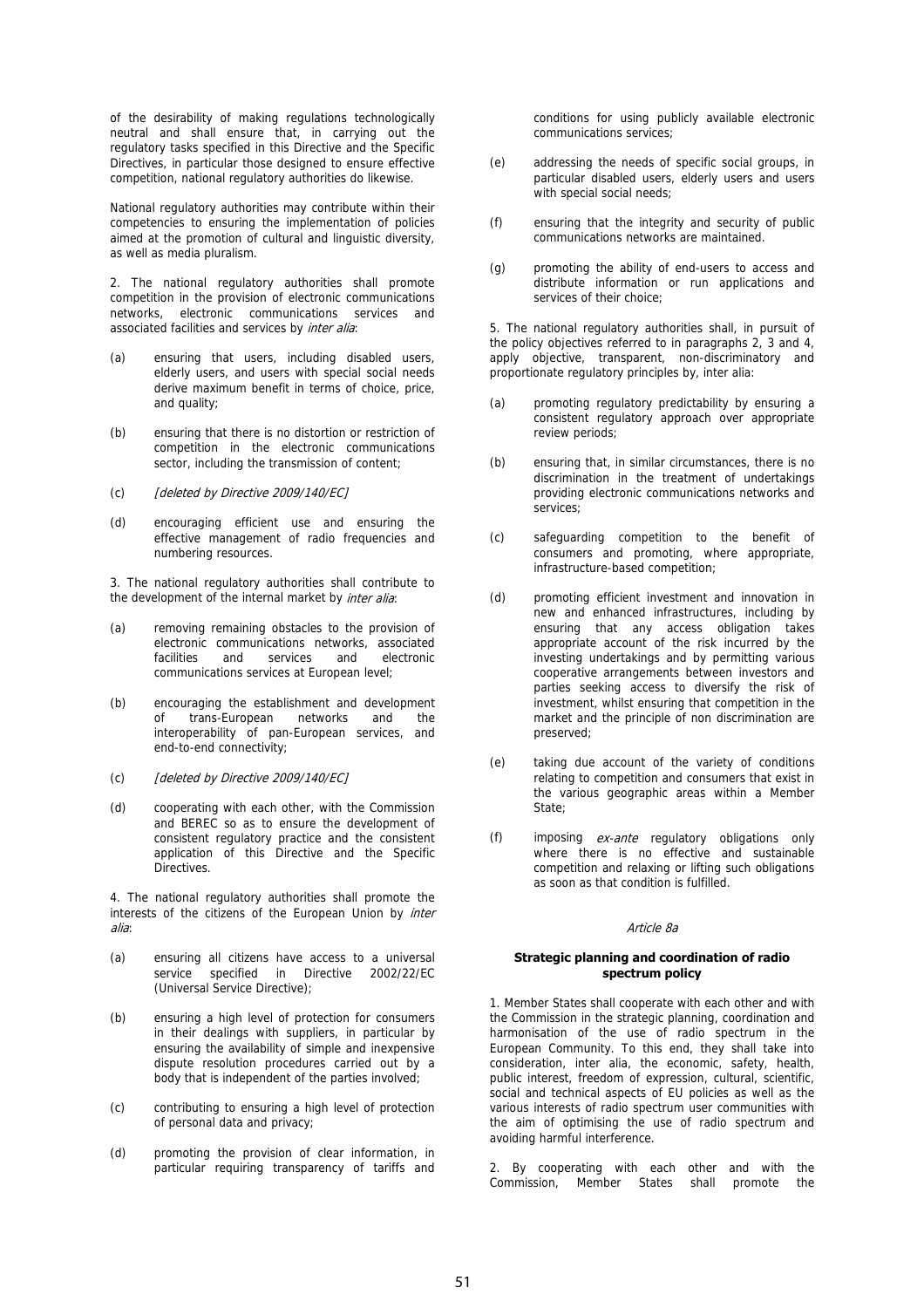of the desirability of making regulations technologically neutral and shall ensure that, in carrying out the regulatory tasks specified in this Directive and the Specific Directives, in particular those designed to ensure effective competition, national regulatory authorities do likewise.

National regulatory authorities may contribute within their competencies to ensuring the implementation of policies aimed at the promotion of cultural and linguistic diversity, as well as media pluralism.

2. The national regulatory authorities shall promote competition in the provision of electronic communications networks, electronic communications services and associated facilities and services by *inter alia*:

- (a) ensuring that users, including disabled users, elderly users, and users with special social needs derive maximum benefit in terms of choice, price, and quality:
- (b) ensuring that there is no distortion or restriction of competition in the electronic communications sector, including the transmission of content;
- (c) [deleted by Directive 2009/140/FC]
- (d) encouraging efficient use and ensuring the effective management of radio frequencies and numbering resources.

3. The national regulatory authorities shall contribute to the development of the internal market by *inter alia*:

- (a) removing remaining obstacles to the provision of electronic communications networks, associated facilities and services and electronic communications services at European level;
- (b) encouraging the establishment and development<br>of trans-European networks and the networks and interoperability of pan-European services, and end-to-end connectivity;
- (c) [deleted by Directive 2009/140/EC]
- (d) cooperating with each other, with the Commission and BEREC so as to ensure the development of consistent regulatory practice and the consistent application of this Directive and the Specific Directives.

4. The national regulatory authorities shall promote the interests of the citizens of the European Union by inter alia:

- (a) ensuring all citizens have access to a universal service specified in Directive 2002/22/EC (Universal Service Directive);
- (b) ensuring a high level of protection for consumers in their dealings with suppliers, in particular by ensuring the availability of simple and inexpensive dispute resolution procedures carried out by a body that is independent of the parties involved;
- (c) contributing to ensuring a high level of protection of personal data and privacy;
- (d) promoting the provision of clear information, in particular requiring transparency of tariffs and

conditions for using publicly available electronic communications services;

- (e) addressing the needs of specific social groups, in particular disabled users, elderly users and users with special social needs;
- (f) ensuring that the integrity and security of public communications networks are maintained.
- (g) promoting the ability of end-users to access and distribute information or run applications and services of their choice;

5. The national regulatory authorities shall, in pursuit of the policy objectives referred to in paragraphs 2, 3 and 4, apply objective, transparent, non-discriminatory and proportionate regulatory principles by, inter alia:

- (a) promoting regulatory predictability by ensuring a consistent regulatory approach over appropriate review periods;
- (b) ensuring that, in similar circumstances, there is no discrimination in the treatment of undertakings providing electronic communications networks and services;
- (c) safeguarding competition to the benefit of consumers and promoting, where appropriate, infrastructure-based competition;
- (d) promoting efficient investment and innovation in new and enhanced infrastructures, including by ensuring that any access obligation takes appropriate account of the risk incurred by the investing undertakings and by permitting various cooperative arrangements between investors and parties seeking access to diversify the risk of investment, whilst ensuring that competition in the market and the principle of non discrimination are preserved;
- (e) taking due account of the variety of conditions relating to competition and consumers that exist in the various geographic areas within a Member State;
- (f) imposing *ex-ante* regulatory obligations only<br>where there is no effective and sustainable competition and relaxing or lifting such obligations as soon as that condition is fulfilled.

## Article 8a

## **Strategic planning and coordination of radio spectrum policy**

1. Member States shall cooperate with each other and with the Commission in the strategic planning, coordination and harmonisation of the use of radio spectrum in the European Community. To this end, they shall take into consideration, inter alia, the economic, safety, health, public interest, freedom of expression, cultural, scientific, social and technical aspects of EU policies as well as the various interests of radio spectrum user communities with the aim of optimising the use of radio spectrum and avoiding harmful interference.

2. By cooperating with each other and with the Commission, Member States shall promote the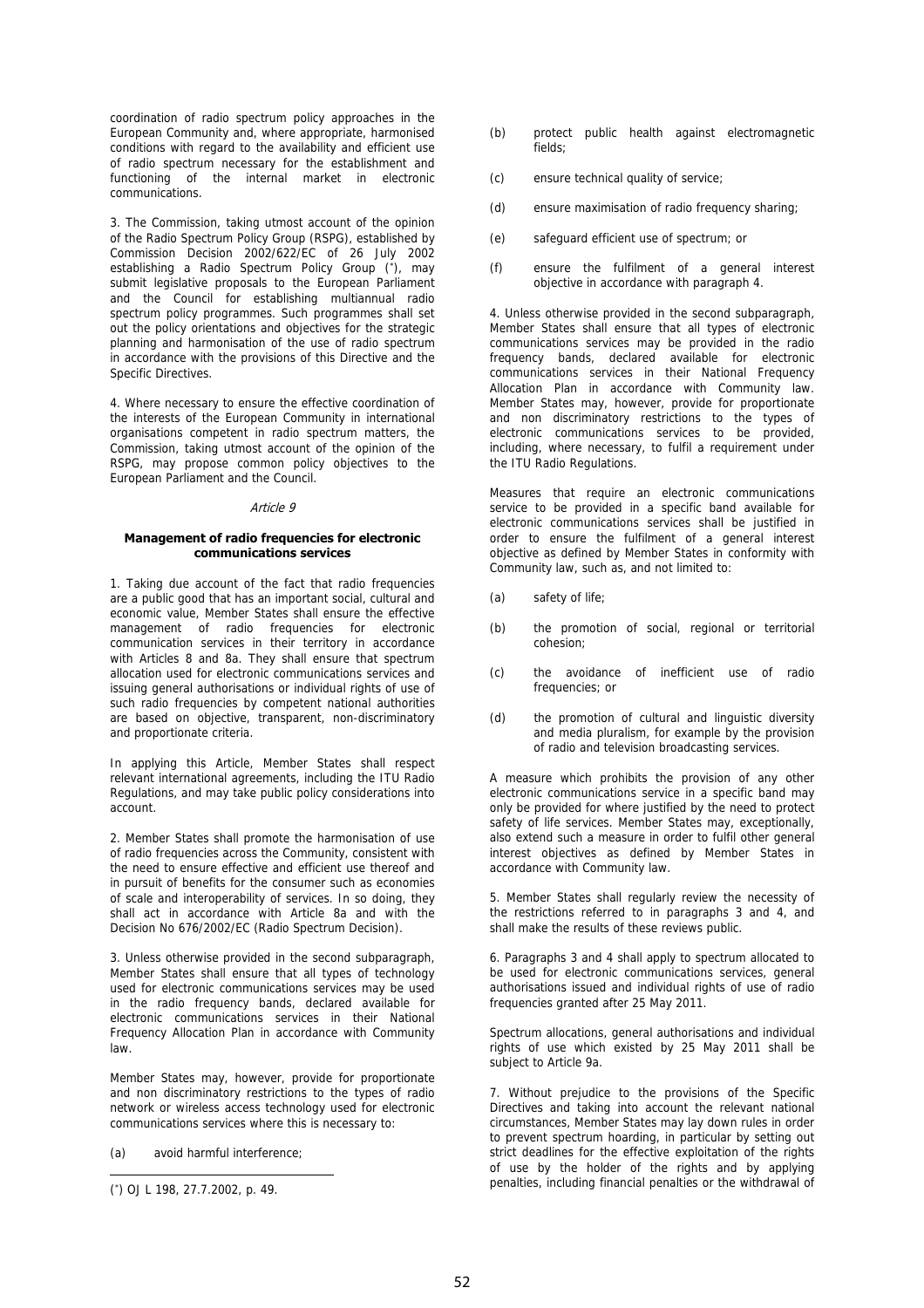coordination of radio spectrum policy approaches in the European Community and, where appropriate, harmonised conditions with regard to the availability and efficient use of radio spectrum necessary for the establishment and functioning of the internal market in electronic communications.

3. The Commission, taking utmost account of the opinion of the Radio Spectrum Policy Group (RSPG), established by Commission Decision 2002/622/EC of 26 July 2002 establishing a Radio Spectrum Policy Group (<sup>∗</sup> ), may submit legislative proposals to the European Parliament and the Council for establishing multiannual radio spectrum policy programmes. Such programmes shall set out the policy orientations and objectives for the strategic planning and harmonisation of the use of radio spectrum in accordance with the provisions of this Directive and the Specific Directives.

4. Where necessary to ensure the effective coordination of the interests of the European Community in international organisations competent in radio spectrum matters, the Commission, taking utmost account of the opinion of the RSPG, may propose common policy objectives to the European Parliament and the Council.

#### Article 9

### **Management of radio frequencies for electronic communications services**

1. Taking due account of the fact that radio frequencies are a public good that has an important social, cultural and economic value, Member States shall ensure the effective management of radio frequencies for electronic communication services in their territory in accordance with Articles 8 and 8a. They shall ensure that spectrum allocation used for electronic communications services and issuing general authorisations or individual rights of use of such radio frequencies by competent national authorities are based on objective, transparent, non-discriminatory and proportionate criteria.

In applying this Article, Member States shall respect relevant international agreements, including the ITU Radio Regulations, and may take public policy considerations into account.

2. Member States shall promote the harmonisation of use of radio frequencies across the Community, consistent with the need to ensure effective and efficient use thereof and in pursuit of benefits for the consumer such as economies of scale and interoperability of services. In so doing, they shall act in accordance with Article 8a and with the Decision No 676/2002/EC (Radio Spectrum Decision).

3. Unless otherwise provided in the second subparagraph, Member States shall ensure that all types of technology used for electronic communications services may be used in the radio frequency bands, declared available for electronic communications services in their National Frequency Allocation Plan in accordance with Community law.

Member States may, however, provide for proportionate and non discriminatory restrictions to the types of radio network or wireless access technology used for electronic communications services where this is necessary to:

(a) avoid harmful interference;

1

- (b) protect public health against electromagnetic fields;
- (c) ensure technical quality of service;
- (d) ensure maximisation of radio frequency sharing;
- (e) safeguard efficient use of spectrum; or
- (f) ensure the fulfilment of a general interest objective in accordance with paragraph 4.

4. Unless otherwise provided in the second subparagraph, Member States shall ensure that all types of electronic communications services may be provided in the radio frequency bands, declared available for electronic communications services in their National Frequency Allocation Plan in accordance with Community law. Member States may, however, provide for proportionate and non discriminatory restrictions to the types of electronic communications services to be provided, including, where necessary, to fulfil a requirement under the ITU Radio Regulations.

Measures that require an electronic communications service to be provided in a specific band available for electronic communications services shall be justified in order to ensure the fulfilment of a general interest objective as defined by Member States in conformity with Community law, such as, and not limited to:

- (a) safety of life;
- (b) the promotion of social, regional or territorial cohesion;
- (c) the avoidance of inefficient use of radio frequencies; or
- (d) the promotion of cultural and linguistic diversity and media pluralism, for example by the provision of radio and television broadcasting services.

A measure which prohibits the provision of any other electronic communications service in a specific band may only be provided for where justified by the need to protect safety of life services. Member States may, exceptionally, also extend such a measure in order to fulfil other general interest objectives as defined by Member States in accordance with Community law.

5. Member States shall regularly review the necessity of the restrictions referred to in paragraphs 3 and 4, and shall make the results of these reviews public.

6. Paragraphs 3 and 4 shall apply to spectrum allocated to be used for electronic communications services, general authorisations issued and individual rights of use of radio frequencies granted after 25 May 2011.

Spectrum allocations, general authorisations and individual rights of use which existed by 25 May 2011 shall be subject to Article 9a.

7. Without prejudice to the provisions of the Specific Directives and taking into account the relevant national circumstances, Member States may lay down rules in order to prevent spectrum hoarding, in particular by setting out strict deadlines for the effective exploitation of the rights of use by the holder of the rights and by applying penalties, including financial penalties or the withdrawal of

<sup>(</sup> ∗ ) OJ L 198, 27.7.2002, p. 49.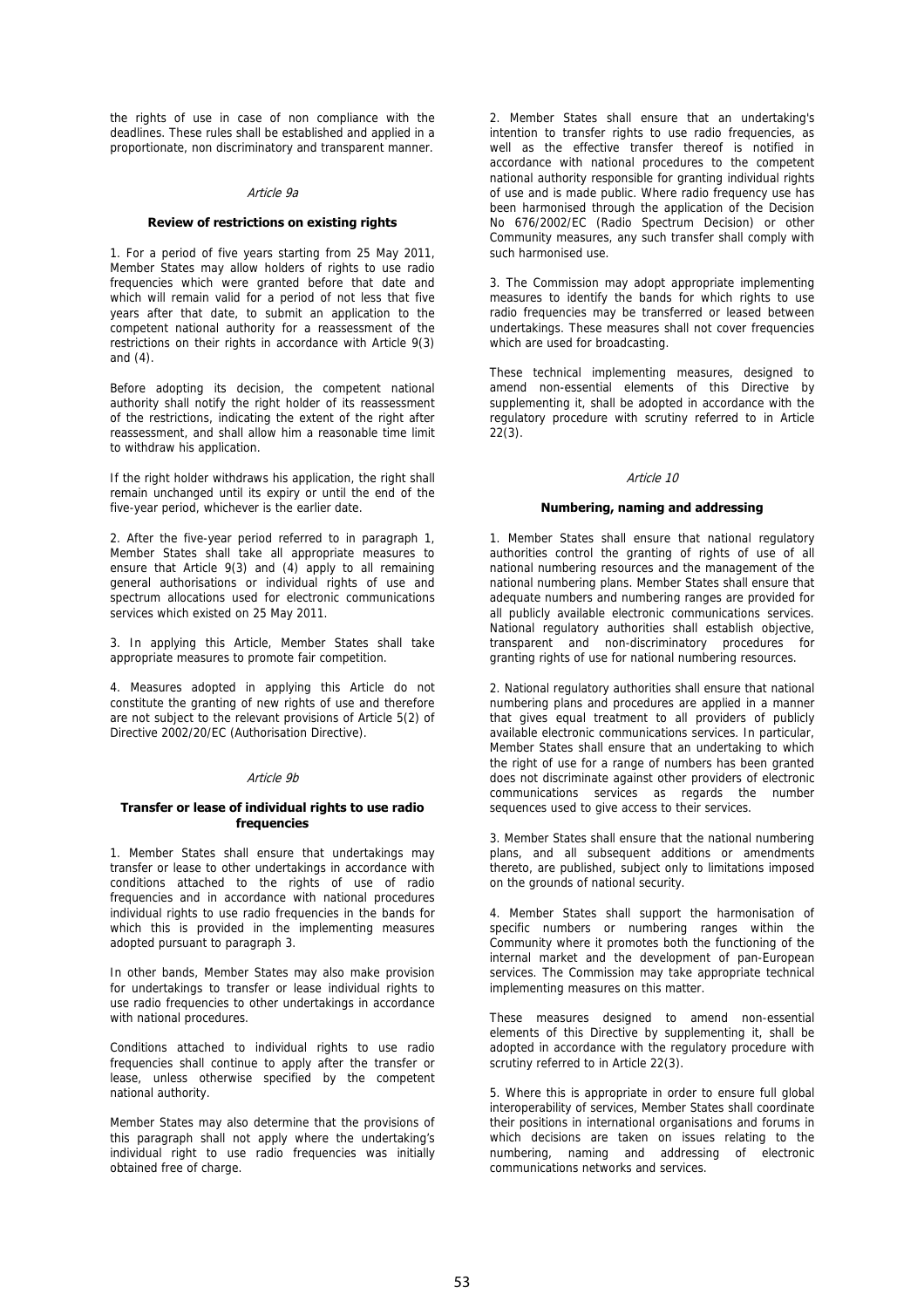the rights of use in case of non compliance with the deadlines. These rules shall be established and applied in a proportionate, non discriminatory and transparent manner.

#### Article 9a

### **Review of restrictions on existing rights**

1. For a period of five years starting from 25 May 2011, Member States may allow holders of rights to use radio frequencies which were granted before that date and which will remain valid for a period of not less that five years after that date, to submit an application to the competent national authority for a reassessment of the restrictions on their rights in accordance with Article 9(3) and (4).

Before adopting its decision, the competent national authority shall notify the right holder of its reassessment of the restrictions, indicating the extent of the right after reassessment, and shall allow him a reasonable time limit to withdraw his application.

If the right holder withdraws his application, the right shall remain unchanged until its expiry or until the end of the five-year period, whichever is the earlier date.

2. After the five-year period referred to in paragraph 1, Member States shall take all appropriate measures to ensure that Article 9(3) and (4) apply to all remaining general authorisations or individual rights of use and spectrum allocations used for electronic communications services which existed on 25 May 2011.

3. In applying this Article, Member States shall take appropriate measures to promote fair competition.

4. Measures adopted in applying this Article do not constitute the granting of new rights of use and therefore are not subject to the relevant provisions of Article 5(2) of Directive 2002/20/EC (Authorisation Directive).

#### Article 9b

#### **Transfer or lease of individual rights to use radio frequencies**

1. Member States shall ensure that undertakings may transfer or lease to other undertakings in accordance with conditions attached to the rights of use of radio frequencies and in accordance with national procedures individual rights to use radio frequencies in the bands for which this is provided in the implementing measures adopted pursuant to paragraph 3.

In other bands, Member States may also make provision for undertakings to transfer or lease individual rights to use radio frequencies to other undertakings in accordance with national procedures.

Conditions attached to individual rights to use radio frequencies shall continue to apply after the transfer or lease, unless otherwise specified by the competent national authority.

Member States may also determine that the provisions of this paragraph shall not apply where the undertaking's individual right to use radio frequencies was initially obtained free of charge.

2. Member States shall ensure that an undertaking's intention to transfer rights to use radio frequencies, as well as the effective transfer thereof is notified in accordance with national procedures to the competent national authority responsible for granting individual rights of use and is made public. Where radio frequency use has been harmonised through the application of the Decision No 676/2002/EC (Radio Spectrum Decision) or other Community measures, any such transfer shall comply with such harmonised use.

3. The Commission may adopt appropriate implementing measures to identify the bands for which rights to use radio frequencies may be transferred or leased between undertakings. These measures shall not cover frequencies which are used for broadcasting.

These technical implementing measures, designed to amend non-essential elements of this Directive by supplementing it, shall be adopted in accordance with the regulatory procedure with scrutiny referred to in Article  $22(3)$ .

#### Article 10

#### **Numbering, naming and addressing**

1. Member States shall ensure that national regulatory authorities control the granting of rights of use of all national numbering resources and the management of the national numbering plans. Member States shall ensure that adequate numbers and numbering ranges are provided for all publicly available electronic communications services. National regulatory authorities shall establish objective, transparent and non-discriminatory procedures for granting rights of use for national numbering resources.

2. National regulatory authorities shall ensure that national numbering plans and procedures are applied in a manner that gives equal treatment to all providers of publicly available electronic communications services. In particular, Member States shall ensure that an undertaking to which the right of use for a range of numbers has been granted does not discriminate against other providers of electronic communications services as regards the number sequences used to give access to their services.

3. Member States shall ensure that the national numbering plans, and all subsequent additions or amendments thereto, are published, subject only to limitations imposed on the grounds of national security.

4. Member States shall support the harmonisation of specific numbers or numbering ranges within the Community where it promotes both the functioning of the internal market and the development of pan-European services. The Commission may take appropriate technical implementing measures on this matter.

These measures designed to amend non-essential elements of this Directive by supplementing it, shall be adopted in accordance with the regulatory procedure with scrutiny referred to in Article 22(3).

5. Where this is appropriate in order to ensure full global interoperability of services, Member States shall coordinate their positions in international organisations and forums in which decisions are taken on issues relating to the numbering, naming and addressing of electronic communications networks and services.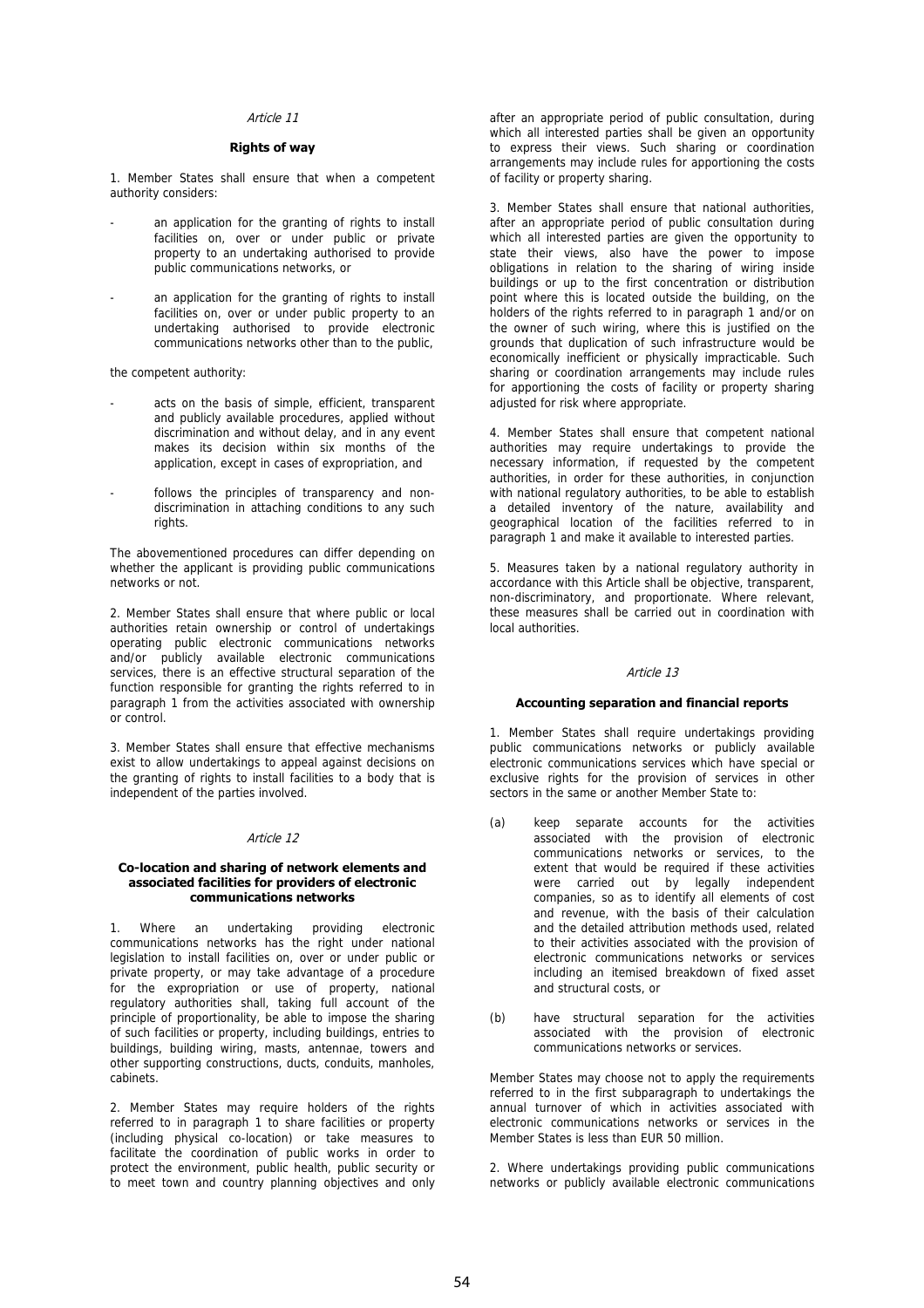#### Article 11

## **Rights of way**

1. Member States shall ensure that when a competent authority considers:

- an application for the granting of rights to install facilities on, over or under public or private property to an undertaking authorised to provide public communications networks, or
- an application for the granting of rights to install facilities on, over or under public property to an undertaking authorised to provide electronic communications networks other than to the public,

the competent authority:

- acts on the basis of simple, efficient, transparent and publicly available procedures, applied without discrimination and without delay, and in any event makes its decision within six months of the application, except in cases of expropriation, and
- follows the principles of transparency and nondiscrimination in attaching conditions to any such rights.

The abovementioned procedures can differ depending on whether the applicant is providing public communications networks or not.

2. Member States shall ensure that where public or local authorities retain ownership or control of undertakings operating public electronic communications networks and/or publicly available electronic communications services, there is an effective structural separation of the function responsible for granting the rights referred to in paragraph 1 from the activities associated with ownership or control.

3. Member States shall ensure that effective mechanisms exist to allow undertakings to appeal against decisions on the granting of rights to install facilities to a body that is independent of the parties involved.

#### Article 12

#### **Co-location and sharing of network elements and associated facilities for providers of electronic communications networks**

1. Where an undertaking providing electronic communications networks has the right under national legislation to install facilities on, over or under public or private property, or may take advantage of a procedure for the expropriation or use of property, national regulatory authorities shall, taking full account of the principle of proportionality, be able to impose the sharing of such facilities or property, including buildings, entries to buildings, building wiring, masts, antennae, towers and other supporting constructions, ducts, conduits, manholes, cabinets.

2. Member States may require holders of the rights referred to in paragraph 1 to share facilities or property (including physical co-location) or take measures to facilitate the coordination of public works in order to protect the environment, public health, public security or to meet town and country planning objectives and only after an appropriate period of public consultation, during which all interested parties shall be given an opportunity to express their views. Such sharing or coordination arrangements may include rules for apportioning the costs of facility or property sharing.

3. Member States shall ensure that national authorities, after an appropriate period of public consultation during which all interested parties are given the opportunity to state their views, also have the power to impose obligations in relation to the sharing of wiring inside buildings or up to the first concentration or distribution point where this is located outside the building, on the holders of the rights referred to in paragraph 1 and/or on the owner of such wiring, where this is justified on the grounds that duplication of such infrastructure would be economically inefficient or physically impracticable. Such sharing or coordination arrangements may include rules for apportioning the costs of facility or property sharing adjusted for risk where appropriate.

4. Member States shall ensure that competent national authorities may require undertakings to provide the necessary information, if requested by the competent authorities, in order for these authorities, in conjunction with national regulatory authorities, to be able to establish a detailed inventory of the nature, availability and geographical location of the facilities referred to in paragraph 1 and make it available to interested parties.

5. Measures taken by a national regulatory authority in accordance with this Article shall be objective, transparent, non-discriminatory, and proportionate. Where relevant, these measures shall be carried out in coordination with local authorities.

### Article 13

#### **Accounting separation and financial reports**

1. Member States shall require undertakings providing public communications networks or publicly available electronic communications services which have special or exclusive rights for the provision of services in other sectors in the same or another Member State to:

- (a) keep separate accounts for the activities associated with the provision of electronic communications networks or services, to the extent that would be required if these activities were carried out by legally independent companies, so as to identify all elements of cost and revenue, with the basis of their calculation and the detailed attribution methods used, related to their activities associated with the provision of electronic communications networks or services including an itemised breakdown of fixed asset and structural costs, or
- (b) have structural separation for the activities associated with the provision of electronic communications networks or services.

Member States may choose not to apply the requirements referred to in the first subparagraph to undertakings the annual turnover of which in activities associated with electronic communications networks or services in the Member States is less than EUR 50 million.

2. Where undertakings providing public communications networks or publicly available electronic communications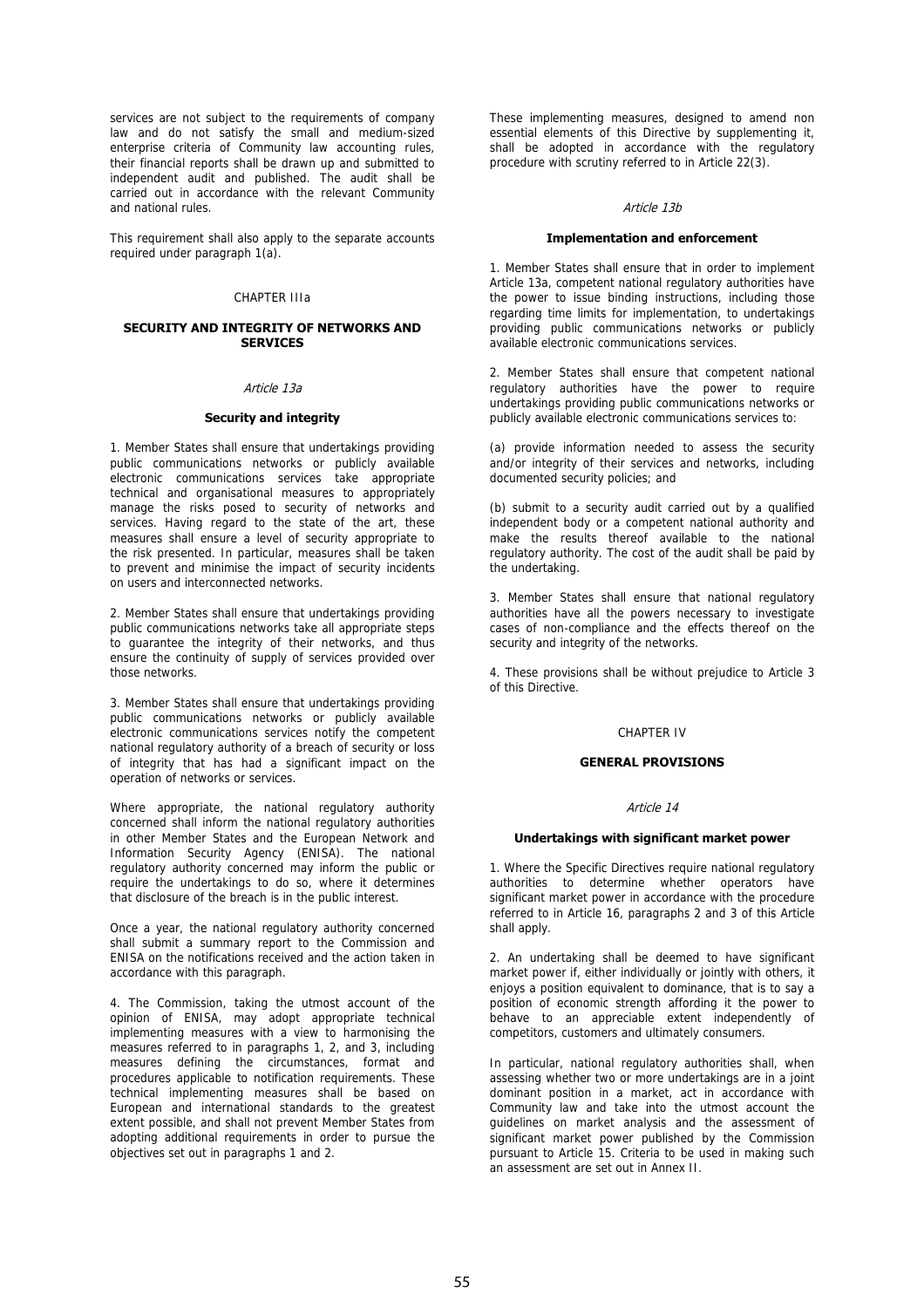services are not subject to the requirements of company law and do not satisfy the small and medium-sized enterprise criteria of Community law accounting rules, their financial reports shall be drawn up and submitted to independent audit and published. The audit shall be carried out in accordance with the relevant Community and national rules.

This requirement shall also apply to the separate accounts required under paragraph 1(a).

# CHAPTER IIIa

## **SECURITY AND INTEGRITY OF NETWORKS AND SERVICES**

## Article 13a

## **Security and integrity**

1. Member States shall ensure that undertakings providing public communications networks or publicly available electronic communications services take appropriate technical and organisational measures to appropriately manage the risks posed to security of networks and services. Having regard to the state of the art, these measures shall ensure a level of security appropriate to the risk presented. In particular, measures shall be taken to prevent and minimise the impact of security incidents on users and interconnected networks.

2. Member States shall ensure that undertakings providing public communications networks take all appropriate steps to guarantee the integrity of their networks, and thus ensure the continuity of supply of services provided over those networks.

3. Member States shall ensure that undertakings providing public communications networks or publicly available electronic communications services notify the competent national regulatory authority of a breach of security or loss of integrity that has had a significant impact on the operation of networks or services.

Where appropriate, the national regulatory authority concerned shall inform the national regulatory authorities in other Member States and the European Network and Information Security Agency (ENISA). The national regulatory authority concerned may inform the public or require the undertakings to do so, where it determines that disclosure of the breach is in the public interest.

Once a year, the national regulatory authority concerned shall submit a summary report to the Commission and ENISA on the notifications received and the action taken in accordance with this paragraph.

4. The Commission, taking the utmost account of the opinion of ENISA, may adopt appropriate technical implementing measures with a view to harmonising the measures referred to in paragraphs 1, 2, and 3, including measures defining the circumstances, format and procedures applicable to notification requirements. These technical implementing measures shall be based on European and international standards to the greatest extent possible, and shall not prevent Member States from adopting additional requirements in order to pursue the objectives set out in paragraphs 1 and 2.

These implementing measures, designed to amend non essential elements of this Directive by supplementing it, shall be adopted in accordance with the regulatory procedure with scrutiny referred to in Article 22(3).

#### Article 13b

### **Implementation and enforcement**

1. Member States shall ensure that in order to implement Article 13a, competent national regulatory authorities have the power to issue binding instructions, including those regarding time limits for implementation, to undertakings providing public communications networks or publicly available electronic communications services.

2. Member States shall ensure that competent national regulatory authorities have the power to require undertakings providing public communications networks or publicly available electronic communications services to:

(a) provide information needed to assess the security and/or integrity of their services and networks, including documented security policies; and

(b) submit to a security audit carried out by a qualified independent body or a competent national authority and make the results thereof available to the national regulatory authority. The cost of the audit shall be paid by the undertaking.

3. Member States shall ensure that national regulatory authorities have all the powers necessary to investigate cases of non-compliance and the effects thereof on the security and integrity of the networks.

4. These provisions shall be without prejudice to Article 3 of this Directive

#### CHAPTER IV

### **GENERAL PROVISIONS**

### Article 14

#### **Undertakings with significant market power**

1. Where the Specific Directives require national regulatory authorities to determine whether operators have significant market power in accordance with the procedure referred to in Article 16, paragraphs 2 and 3 of this Article shall apply.

2. An undertaking shall be deemed to have significant market power if, either individually or jointly with others, it enjoys a position equivalent to dominance, that is to say a position of economic strength affording it the power to behave to an appreciable extent independently of competitors, customers and ultimately consumers.

In particular, national regulatory authorities shall, when assessing whether two or more undertakings are in a joint dominant position in a market, act in accordance with Community law and take into the utmost account the guidelines on market analysis and the assessment of significant market power published by the Commission pursuant to Article 15. Criteria to be used in making such an assessment are set out in Annex II.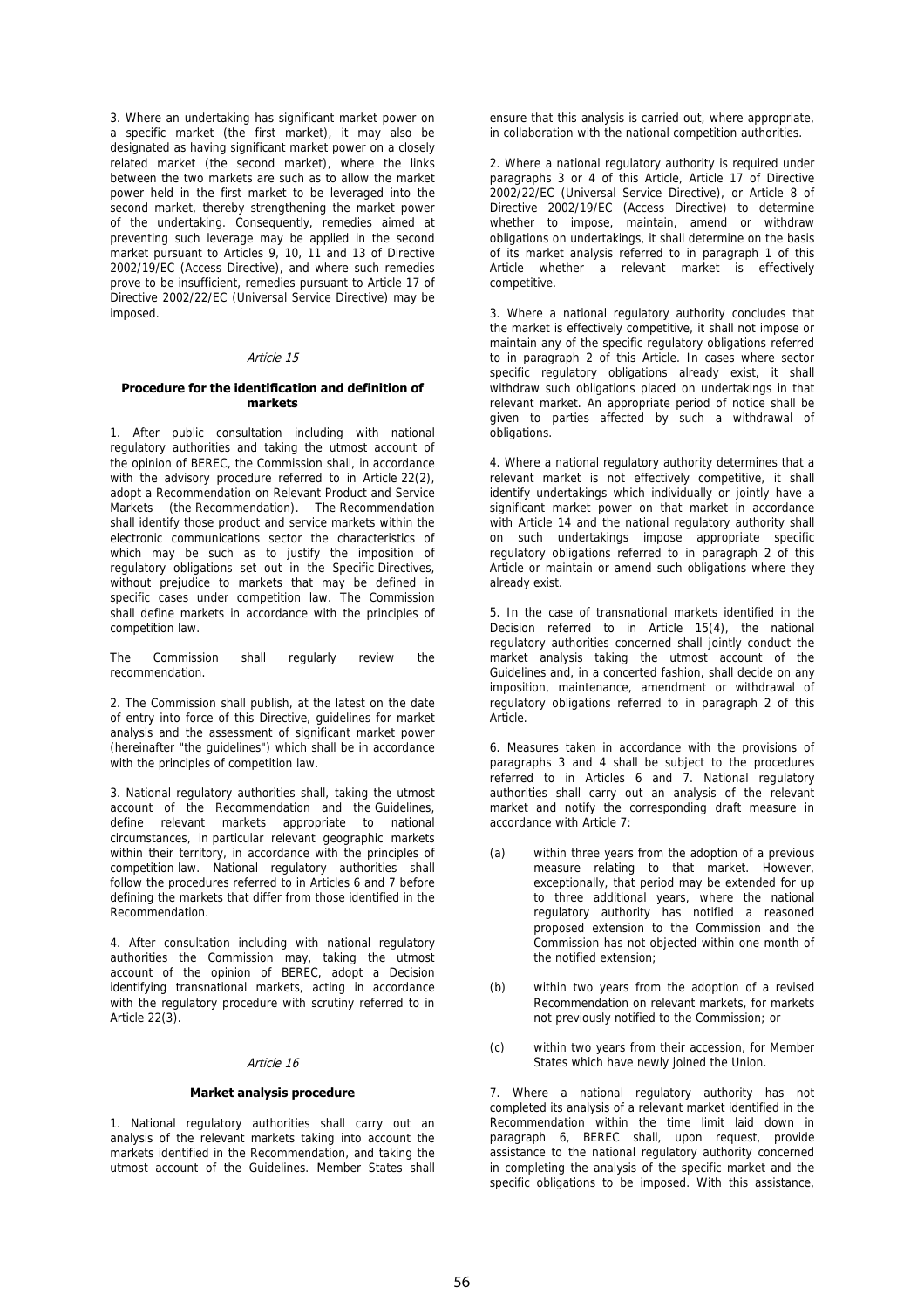3. Where an undertaking has significant market power on a specific market (the first market), it may also be designated as having significant market power on a closely related market (the second market), where the links between the two markets are such as to allow the market power held in the first market to be leveraged into the second market, thereby strengthening the market power of the undertaking. Consequently, remedies aimed at preventing such leverage may be applied in the second market pursuant to Articles 9, 10, 11 and 13 of Directive 2002/19/EC (Access Directive), and where such remedies prove to be insufficient, remedies pursuant to Article 17 of Directive 2002/22/EC (Universal Service Directive) may be imposed.

### Article 15

### **Procedure for the identification and definition of markets**

1. After public consultation including with national regulatory authorities and taking the utmost account of the opinion of BEREC, the Commission shall, in accordance with the advisory procedure referred to in Article 22(2), adopt a Recommendation on Relevant Product and Service Markets (the Recommendation). The Recommendation shall identify those product and service markets within the electronic communications sector the characteristics of which may be such as to justify the imposition of regulatory obligations set out in the Specific Directives, without prejudice to markets that may be defined in specific cases under competition law. The Commission shall define markets in accordance with the principles of competition law.

The Commission shall regularly review the recommendation.

2. The Commission shall publish, at the latest on the date of entry into force of this Directive, guidelines for market analysis and the assessment of significant market power (hereinafter "the guidelines") which shall be in accordance with the principles of competition law.

3. National regulatory authorities shall, taking the utmost account of the Recommendation and the Guidelines, define relevant markets appropriate to national circumstances, in particular relevant geographic markets within their territory, in accordance with the principles of competition law. National regulatory authorities shall follow the procedures referred to in Articles 6 and 7 before defining the markets that differ from those identified in the Recommendation.

4. After consultation including with national regulatory authorities the Commission may, taking the utmost account of the opinion of BEREC, adopt a Decision identifying transnational markets, acting in accordance with the regulatory procedure with scrutiny referred to in Article 22(3).

#### Article 16

#### **Market analysis procedure**

1. National regulatory authorities shall carry out an analysis of the relevant markets taking into account the markets identified in the Recommendation, and taking the utmost account of the Guidelines. Member States shall

ensure that this analysis is carried out, where appropriate, in collaboration with the national competition authorities.

2. Where a national regulatory authority is required under paragraphs 3 or 4 of this Article, Article 17 of Directive 2002/22/EC (Universal Service Directive), or Article 8 of Directive 2002/19/EC (Access Directive) to determine whether to impose, maintain, amend or withdraw obligations on undertakings, it shall determine on the basis of its market analysis referred to in paragraph 1 of this Article whether a relevant market is effectively competitive.

3. Where a national regulatory authority concludes that the market is effectively competitive, it shall not impose or maintain any of the specific regulatory obligations referred to in paragraph 2 of this Article. In cases where sector specific regulatory obligations already exist, it shall withdraw such obligations placed on undertakings in that relevant market. An appropriate period of notice shall be given to parties affected by such a withdrawal of obligations.

4. Where a national regulatory authority determines that a relevant market is not effectively competitive, it shall identify undertakings which individually or jointly have a significant market power on that market in accordance with Article 14 and the national regulatory authority shall on such undertakings impose appropriate specific regulatory obligations referred to in paragraph 2 of this Article or maintain or amend such obligations where they already exist.

5. In the case of transnational markets identified in the Decision referred to in Article 15(4), the national regulatory authorities concerned shall jointly conduct the market analysis taking the utmost account of the Guidelines and, in a concerted fashion, shall decide on any imposition, maintenance, amendment or withdrawal of regulatory obligations referred to in paragraph 2 of this Article.

6. Measures taken in accordance with the provisions of paragraphs 3 and 4 shall be subject to the procedures referred to in Articles 6 and 7. National regulatory authorities shall carry out an analysis of the relevant market and notify the corresponding draft measure in accordance with Article 7:

- (a) within three years from the adoption of a previous measure relating to that market. However, exceptionally, that period may be extended for up to three additional years, where the national regulatory authority has notified a reasoned proposed extension to the Commission and the Commission has not objected within one month of the notified extension;
- (b) within two years from the adoption of a revised Recommendation on relevant markets, for markets not previously notified to the Commission; or
- (c) within two years from their accession, for Member States which have newly joined the Union.

7. Where a national regulatory authority has not completed its analysis of a relevant market identified in the Recommendation within the time limit laid down in paragraph 6, BEREC shall, upon request, provide assistance to the national regulatory authority concerned in completing the analysis of the specific market and the specific obligations to be imposed. With this assistance,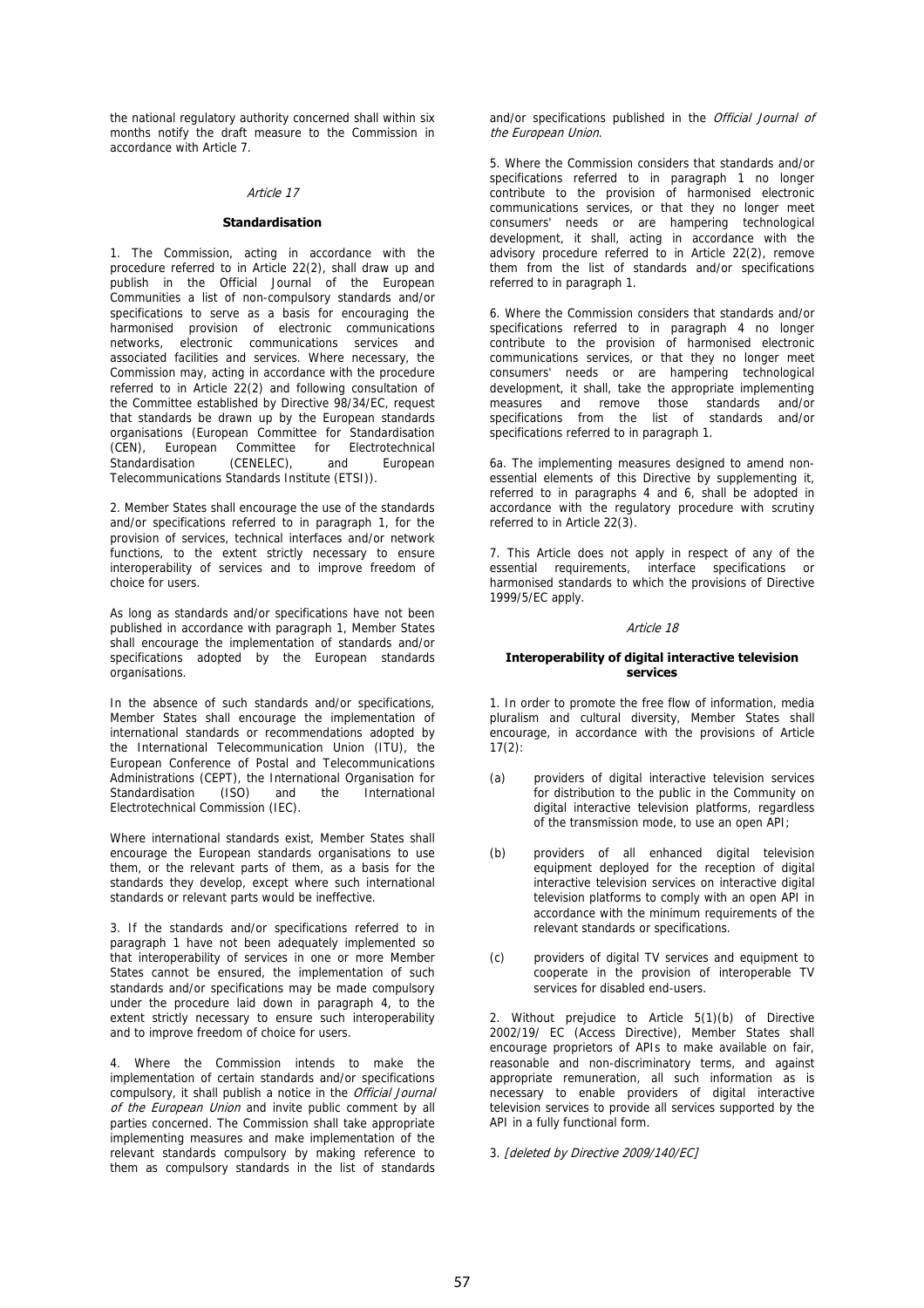the national regulatory authority concerned shall within six months notify the draft measure to the Commission in accordance with Article 7.

### Article 17

# **Standardisation**

1. The Commission, acting in accordance with the procedure referred to in Article 22(2), shall draw up and publish in the Official Journal of the European Communities a list of non-compulsory standards and/or specifications to serve as a basis for encouraging the harmonised provision of electronic communications networks, electronic communications services and associated facilities and services. Where necessary, the Commission may, acting in accordance with the procedure referred to in Article 22(2) and following consultation of the Committee established by Directive 98/34/EC, request that standards be drawn up by the European standards organisations (European Committee for Standardisation<br>(CEN), European Committee for Electrotechnical European Committee for Electrotechnical<br>sation (CENELEC), and European Standardisation Telecommunications Standards Institute (ETSI)).

2. Member States shall encourage the use of the standards and/or specifications referred to in paragraph 1, for the provision of services, technical interfaces and/or network functions, to the extent strictly necessary to ensure interoperability of services and to improve freedom of choice for users.

As long as standards and/or specifications have not been published in accordance with paragraph 1, Member States shall encourage the implementation of standards and/or specifications adopted by the European standards organisations.

In the absence of such standards and/or specifications, Member States shall encourage the implementation of international standards or recommendations adopted by the International Telecommunication Union (ITU), the European Conference of Postal and Telecommunications Administrations (CEPT), the International Organisation for Standardisation (ISO) and the International Electrotechnical Commission (IEC).

Where international standards exist, Member States shall encourage the European standards organisations to use them, or the relevant parts of them, as a basis for the standards they develop, except where such international standards or relevant parts would be ineffective.

3. If the standards and/or specifications referred to in paragraph 1 have not been adequately implemented so that interoperability of services in one or more Member States cannot be ensured, the implementation of such standards and/or specifications may be made compulsory under the procedure laid down in paragraph 4, to the extent strictly necessary to ensure such interoperability and to improve freedom of choice for users.

4. Where the Commission intends to make the implementation of certain standards and/or specifications compulsory, it shall publish a notice in the Official Journal of the European Union and invite public comment by all parties concerned. The Commission shall take appropriate implementing measures and make implementation of the relevant standards compulsory by making reference to them as compulsory standards in the list of standards

and/or specifications published in the Official Journal of the European Union.

5. Where the Commission considers that standards and/or specifications referred to in paragraph 1 no longer contribute to the provision of harmonised electronic communications services, or that they no longer meet consumers' needs or are hampering technological development, it shall, acting in accordance with the advisory procedure referred to in Article 22(2), remove them from the list of standards and/or specifications referred to in paragraph 1.

6. Where the Commission considers that standards and/or specifications referred to in paragraph 4 no longer contribute to the provision of harmonised electronic communications services, or that they no longer meet consumers' needs or are hampering technological development, it shall, take the appropriate implementing measures and remove those standards and/or specifications from the list of standards and/or specifications referred to in paragraph 1.

6a. The implementing measures designed to amend nonessential elements of this Directive by supplementing it, referred to in paragraphs 4 and 6, shall be adopted in accordance with the regulatory procedure with scrutiny referred to in Article 22(3).

7. This Article does not apply in respect of any of the essential requirements, interface specifications or harmonised standards to which the provisions of Directive 1999/5/EC apply.

#### Article 18

### **Interoperability of digital interactive television services**

1. In order to promote the free flow of information, media pluralism and cultural diversity, Member States shall encourage, in accordance with the provisions of Article 17(2):

- (a) providers of digital interactive television services for distribution to the public in the Community on digital interactive television platforms, regardless of the transmission mode, to use an open API;
- (b) providers of all enhanced digital television equipment deployed for the reception of digital interactive television services on interactive digital television platforms to comply with an open API in accordance with the minimum requirements of the relevant standards or specifications.
- (c) providers of digital TV services and equipment to cooperate in the provision of interoperable TV services for disabled end-users.

2. Without prejudice to Article 5(1)(b) of Directive 2002/19/ EC (Access Directive), Member States shall encourage proprietors of APIs to make available on fair, reasonable and non-discriminatory terms, and against appropriate remuneration, all such information as is necessary to enable providers of digital interactive television services to provide all services supported by the API in a fully functional form.

3. [deleted by Directive 2009/140/EC]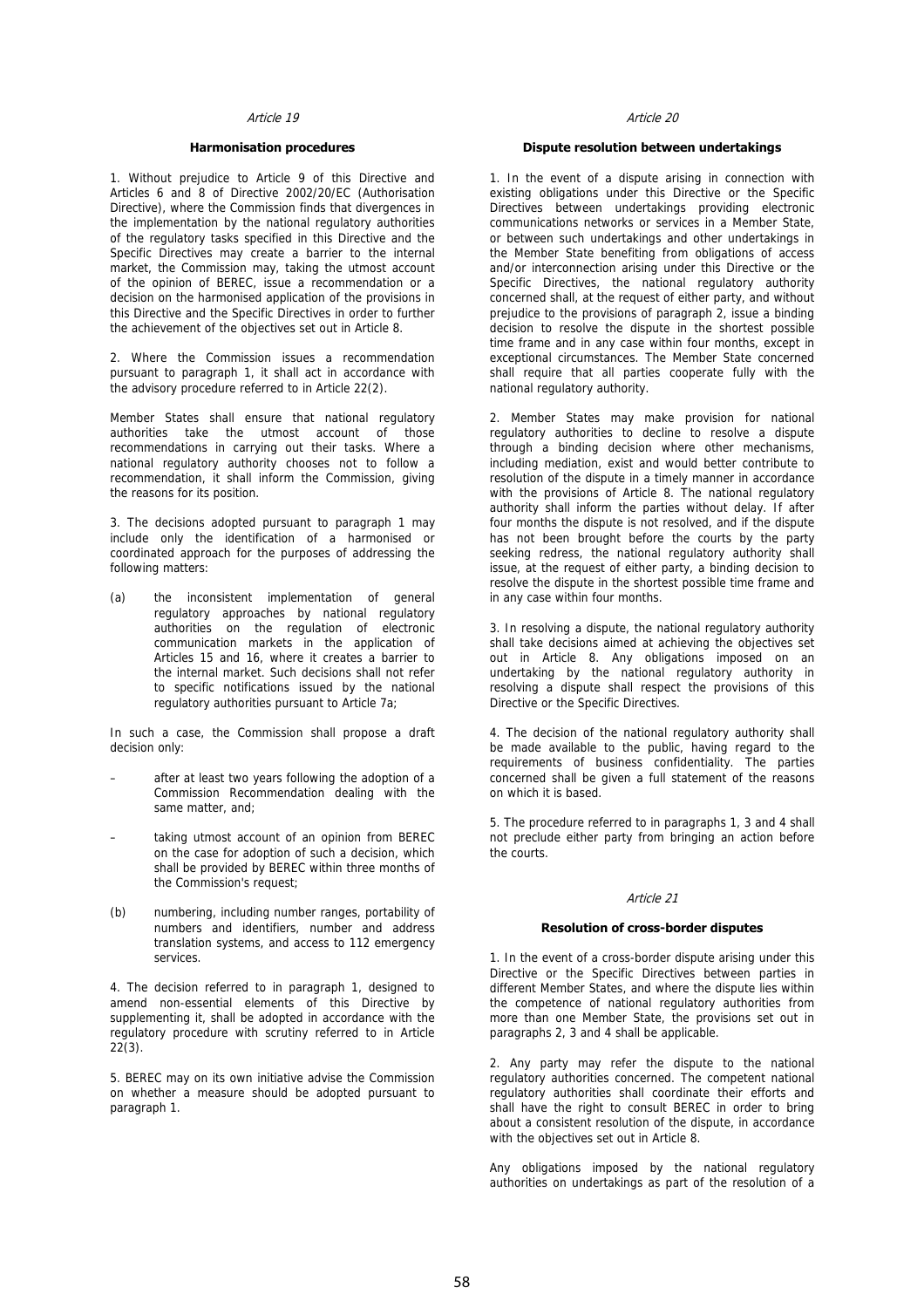### Article 19

#### **Harmonisation procedures**

1. Without prejudice to Article 9 of this Directive and Articles 6 and 8 of Directive 2002/20/EC (Authorisation Directive), where the Commission finds that divergences in the implementation by the national regulatory authorities of the regulatory tasks specified in this Directive and the Specific Directives may create a barrier to the internal market, the Commission may, taking the utmost account of the opinion of BEREC, issue a recommendation or a decision on the harmonised application of the provisions in this Directive and the Specific Directives in order to further the achievement of the objectives set out in Article 8.

2. Where the Commission issues a recommendation pursuant to paragraph 1, it shall act in accordance with the advisory procedure referred to in Article 22(2).

Member States shall ensure that national regulatory authorities take the utmost account of those recommendations in carrying out their tasks. Where a national regulatory authority chooses not to follow a recommendation, it shall inform the Commission, giving the reasons for its position.

3. The decisions adopted pursuant to paragraph 1 may include only the identification of a harmonised or coordinated approach for the purposes of addressing the following matters:

(a) the inconsistent implementation of general regulatory approaches by national regulatory authorities on the regulation of electronic communication markets in the application of Articles 15 and 16, where it creates a barrier to the internal market. Such decisions shall not refer to specific notifications issued by the national regulatory authorities pursuant to Article 7a;

In such a case, the Commission shall propose a draft decision only:

- after at least two years following the adoption of a Commission Recommendation dealing with the same matter, and;
- taking utmost account of an opinion from BEREC on the case for adoption of such a decision, which shall be provided by BEREC within three months of the Commission's request;
- (b) numbering, including number ranges, portability of numbers and identifiers, number and address translation systems, and access to 112 emergency services.

4. The decision referred to in paragraph 1, designed to amend non-essential elements of this Directive by supplementing it, shall be adopted in accordance with the regulatory procedure with scrutiny referred to in Article 22(3).

5. BEREC may on its own initiative advise the Commission on whether a measure should be adopted pursuant to paragraph 1.

## Article 20

### **Dispute resolution between undertakings**

1. In the event of a dispute arising in connection with existing obligations under this Directive or the Specific Directives between undertakings providing electronic communications networks or services in a Member State, or between such undertakings and other undertakings in the Member State benefiting from obligations of access and/or interconnection arising under this Directive or the Specific Directives, the national regulatory authority concerned shall, at the request of either party, and without prejudice to the provisions of paragraph 2, issue a binding decision to resolve the dispute in the shortest possible time frame and in any case within four months, except in exceptional circumstances. The Member State concerned shall require that all parties cooperate fully with the national regulatory authority.

2. Member States may make provision for national regulatory authorities to decline to resolve a dispute through a binding decision where other mechanisms, including mediation, exist and would better contribute to resolution of the dispute in a timely manner in accordance with the provisions of Article 8. The national regulatory authority shall inform the parties without delay. If after four months the dispute is not resolved, and if the dispute has not been brought before the courts by the party seeking redress, the national regulatory authority shall issue, at the request of either party, a binding decision to resolve the dispute in the shortest possible time frame and in any case within four months.

3. In resolving a dispute, the national regulatory authority shall take decisions aimed at achieving the objectives set out in Article 8. Any obligations imposed on an undertaking by the national regulatory authority in resolving a dispute shall respect the provisions of this Directive or the Specific Directives.

4. The decision of the national regulatory authority shall be made available to the public, having regard to the requirements of business confidentiality. The parties concerned shall be given a full statement of the reasons on which it is based.

5. The procedure referred to in paragraphs 1, 3 and 4 shall not preclude either party from bringing an action before the courts.

#### Article 21

### **Resolution of cross-border disputes**

1. In the event of a cross-border dispute arising under this Directive or the Specific Directives between parties in different Member States, and where the dispute lies within the competence of national regulatory authorities from more than one Member State, the provisions set out in paragraphs 2, 3 and 4 shall be applicable.

2. Any party may refer the dispute to the national regulatory authorities concerned. The competent national regulatory authorities shall coordinate their efforts and shall have the right to consult BEREC in order to bring about a consistent resolution of the dispute, in accordance with the objectives set out in Article 8.

Any obligations imposed by the national regulatory authorities on undertakings as part of the resolution of a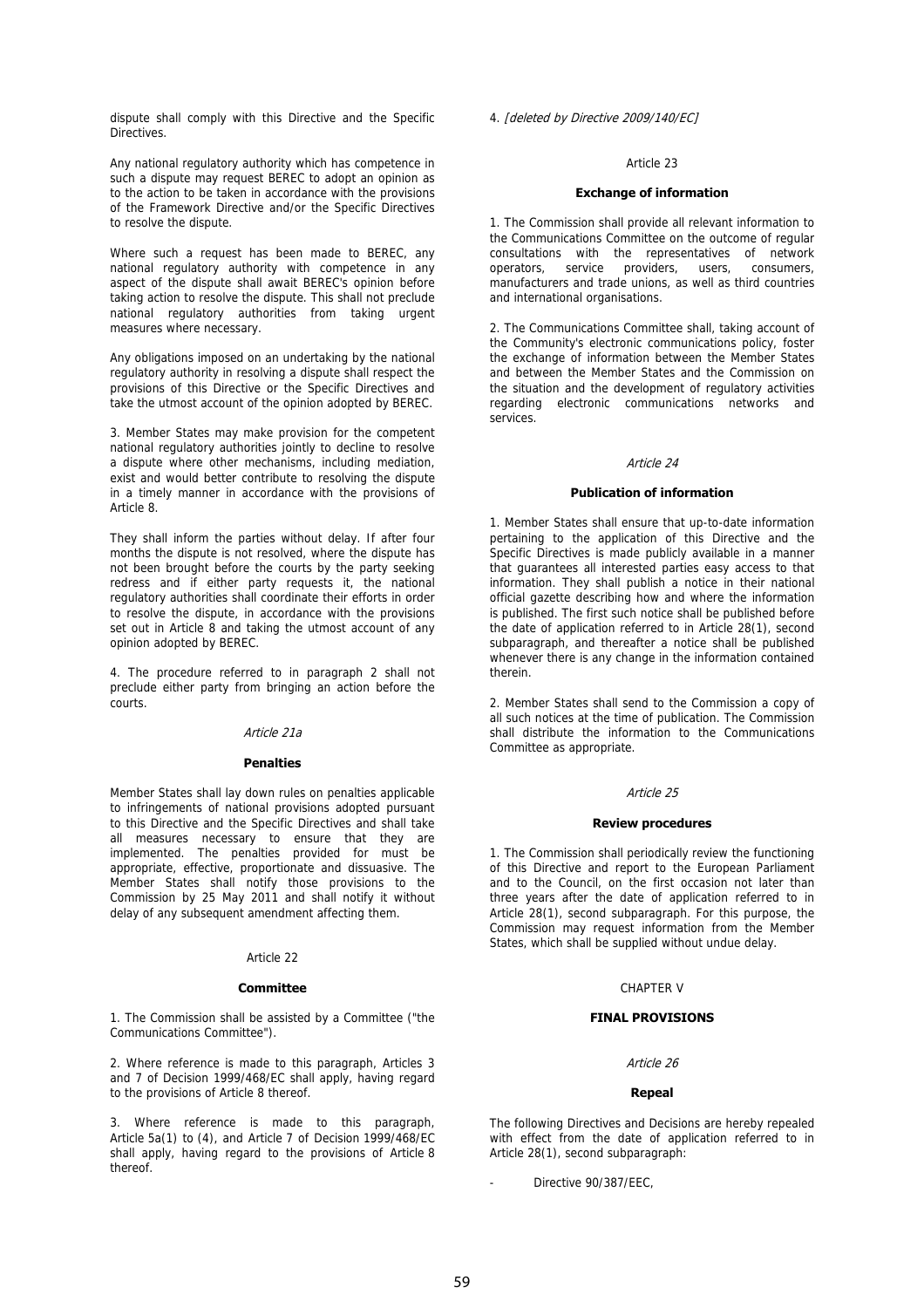dispute shall comply with this Directive and the Specific **Directives** 

Any national regulatory authority which has competence in such a dispute may request BEREC to adopt an opinion as to the action to be taken in accordance with the provisions of the Framework Directive and/or the Specific Directives to resolve the dispute.

Where such a request has been made to BEREC, any national regulatory authority with competence in any aspect of the dispute shall await BEREC's opinion before taking action to resolve the dispute. This shall not preclude national regulatory authorities from taking urgent measures where necessary.

Any obligations imposed on an undertaking by the national regulatory authority in resolving a dispute shall respect the provisions of this Directive or the Specific Directives and take the utmost account of the opinion adopted by BEREC.

3. Member States may make provision for the competent national regulatory authorities jointly to decline to resolve a dispute where other mechanisms, including mediation, exist and would better contribute to resolving the dispute in a timely manner in accordance with the provisions of Article 8.

They shall inform the parties without delay. If after four months the dispute is not resolved, where the dispute has not been brought before the courts by the party seeking redress and if either party requests it, the national regulatory authorities shall coordinate their efforts in order to resolve the dispute, in accordance with the provisions set out in Article 8 and taking the utmost account of any opinion adopted by BEREC.

4. The procedure referred to in paragraph 2 shall not preclude either party from bringing an action before the courts.

### Article 21a

### **Penalties**

Member States shall lay down rules on penalties applicable to infringements of national provisions adopted pursuant to this Directive and the Specific Directives and shall take all measures necessary to ensure that they are implemented. The penalties provided for must be appropriate, effective, proportionate and dissuasive. The Member States shall notify those provisions to the Commission by 25 May 2011 and shall notify it without delay of any subsequent amendment affecting them.

#### Article 22

#### **Committee**

1. The Commission shall be assisted by a Committee ("the Communications Committee").

2. Where reference is made to this paragraph, Articles 3 and 7 of Decision 1999/468/EC shall apply, having regard to the provisions of Article 8 thereof.

3. Where reference is made to this paragraph, Article 5a(1) to (4), and Article 7 of Decision 1999/468/EC shall apply, having regard to the provisions of Article 8 thereof.

### 4. [deleted by Directive 2009/140/EC]

## Article 23

## **Exchange of information**

1. The Commission shall provide all relevant information to the Communications Committee on the outcome of regular consultations with the representatives of network operators, service providers, users, consumers, manufacturers and trade unions, as well as third countries and international organisations.

2. The Communications Committee shall, taking account of the Community's electronic communications policy, foster the exchange of information between the Member States and between the Member States and the Commission on the situation and the development of regulatory activities regarding electronic communications networks and services.

#### Article 24

### **Publication of information**

1. Member States shall ensure that up-to-date information pertaining to the application of this Directive and the Specific Directives is made publicly available in a manner that guarantees all interested parties easy access to that information. They shall publish a notice in their national official gazette describing how and where the information is published. The first such notice shall be published before the date of application referred to in Article 28(1), second subparagraph, and thereafter a notice shall be published whenever there is any change in the information contained therein.

2. Member States shall send to the Commission a copy of all such notices at the time of publication. The Commission shall distribute the information to the Communications Committee as appropriate.

#### Article 25

#### **Review procedures**

1. The Commission shall periodically review the functioning of this Directive and report to the European Parliament and to the Council, on the first occasion not later than three years after the date of application referred to in Article 28(1), second subparagraph. For this purpose, the Commission may request information from the Member States, which shall be supplied without undue delay.

#### CHAPTER V

## **FINAL PROVISIONS**

#### Article 26

#### **Repeal**

The following Directives and Decisions are hereby repealed with effect from the date of application referred to in Article 28(1), second subparagraph:

Directive 90/387/EEC.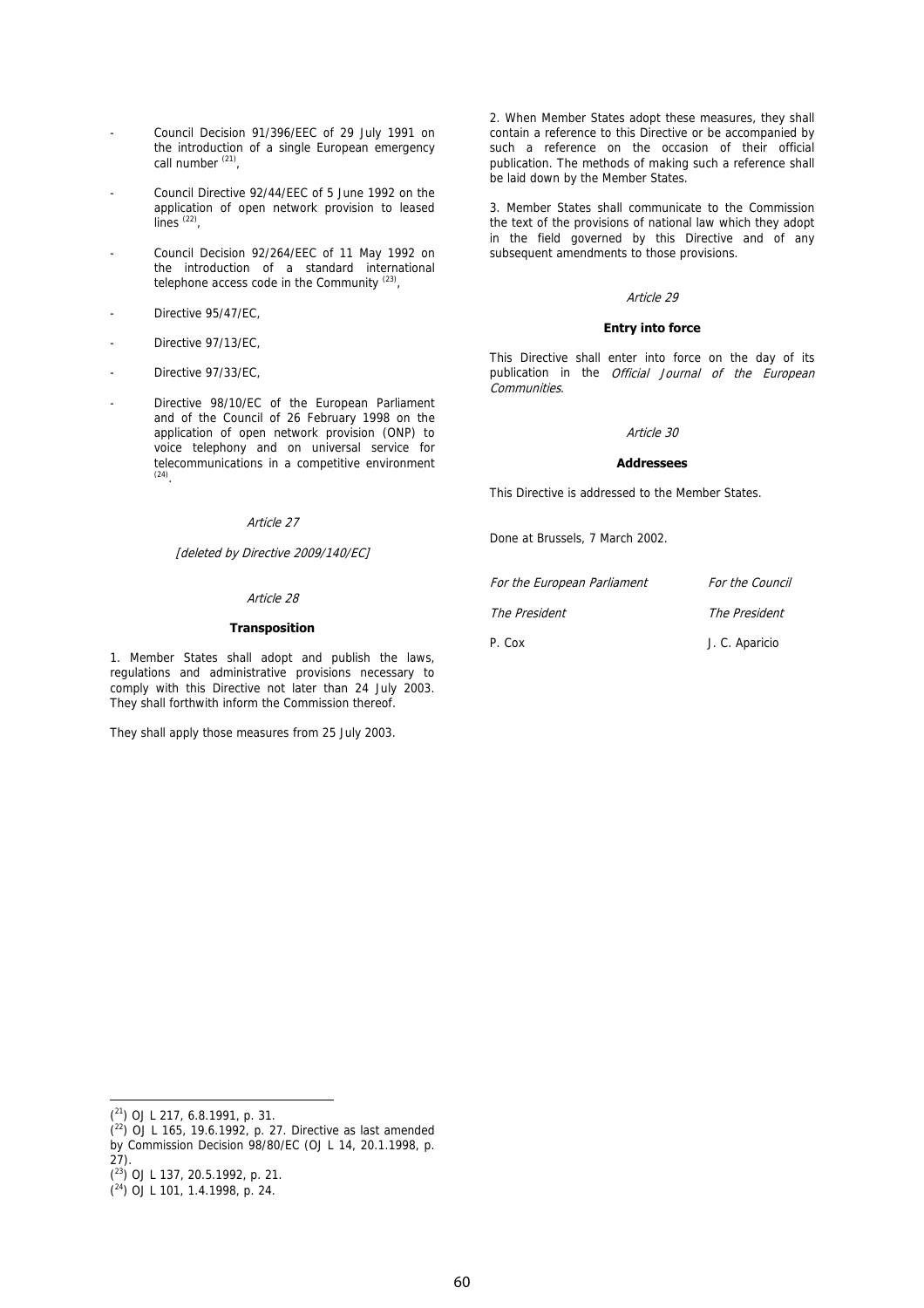- Council Decision 91/396/EEC of 29 July 1991 on the introduction of a single European emergency call number (21).
- Council Directive 92/44/EEC of 5 June 1992 on the application of open network provision to leased  $lines$ <sup> $(22)$ </sup>,
- Council Decision 92/264/EEC of 11 May 1992 on the introduction of a standard international telephone access code in the Community<sup>(23)</sup>,
- Directive 95/47/EC.
- Directive 97/13/EC.
- Directive 97/33/EC,
- Directive 98/10/EC of the European Parliament and of the Council of 26 February 1998 on the application of open network provision (ONP) to voice telephony and on universal service for telecommunications in a competitive environment (24).

#### Article 27

#### [deleted by Directive 2009/140/EC]

#### Article 28

### **Transposition**

1. Member States shall adopt and publish the laws, regulations and administrative provisions necessary to comply with this Directive not later than 24 July 2003. They shall forthwith inform the Commission thereof.

They shall apply those measures from 25 July 2003.

2. When Member States adopt these measures, they shall contain a reference to this Directive or be accompanied by such a reference on the occasion of their official publication. The methods of making such a reference shall be laid down by the Member States.

3. Member States shall communicate to the Commission the text of the provisions of national law which they adopt in the field governed by this Directive and of any subsequent amendments to those provisions.

#### Article 29

### **Entry into force**

This Directive shall enter into force on the day of its publication in the Official Journal of the European Communities.

#### Article 30

#### **Addressees**

This Directive is addressed to the Member States.

Done at Brussels, 7 March 2002.

| For the European Parliament<br>The President | For the Council<br>The President |
|----------------------------------------------|----------------------------------|
|                                              |                                  |

1

<sup>(</sup> 21) OJ L 217, 6.8.1991, p. 31.

 $(2<sup>2</sup>)$  OJ L 165, 19.6.1992, p. 27. Directive as last amended by Commission Decision 98/80/EC (OJ L 14, 20.1.1998, p. 27).

<sup>(</sup> 23) OJ L 137, 20.5.1992, p. 21. ( 24) OJ L 101, 1.4.1998, p. 24.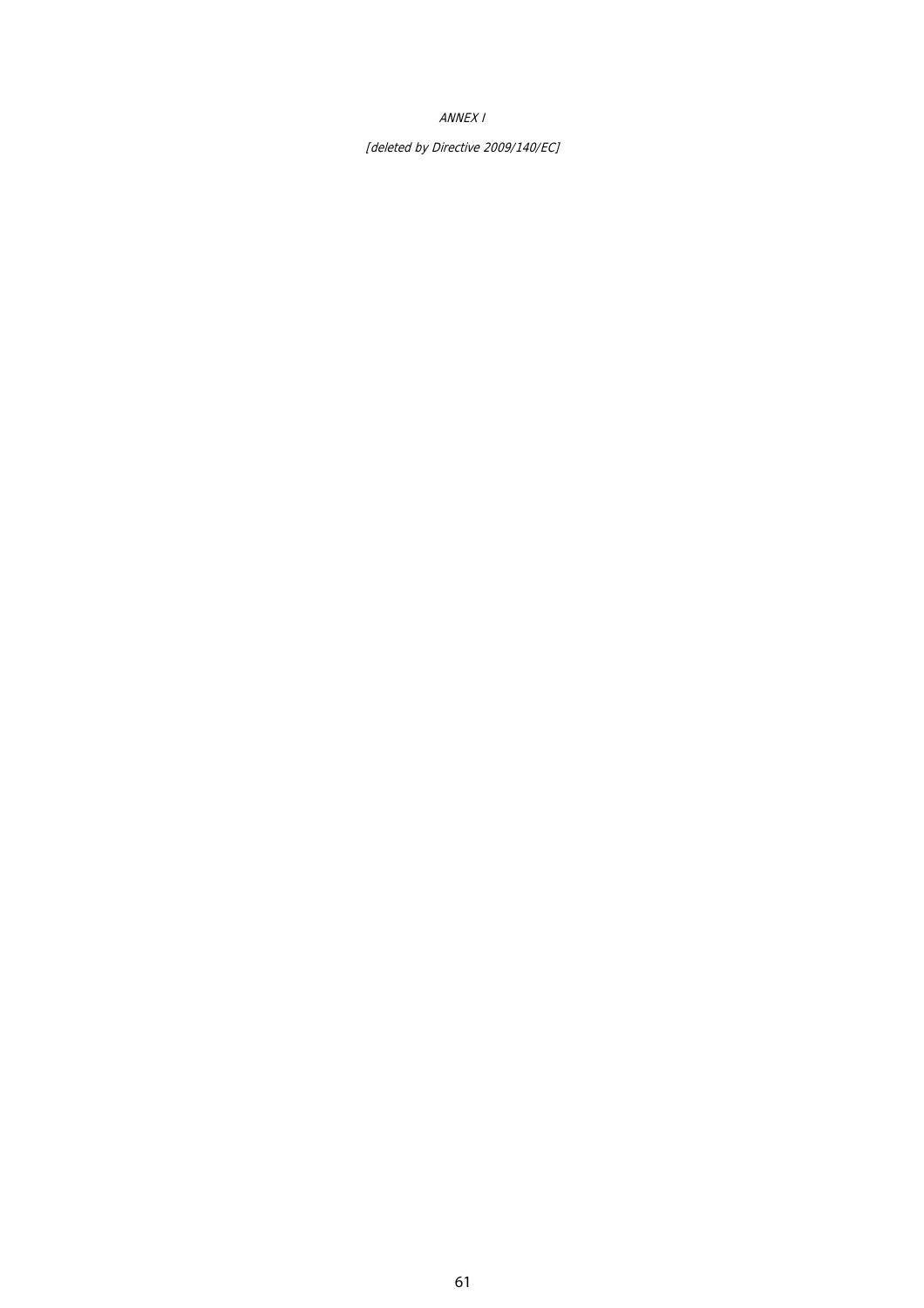# ANNEX I

[deleted by Directive 2009/140/EC]